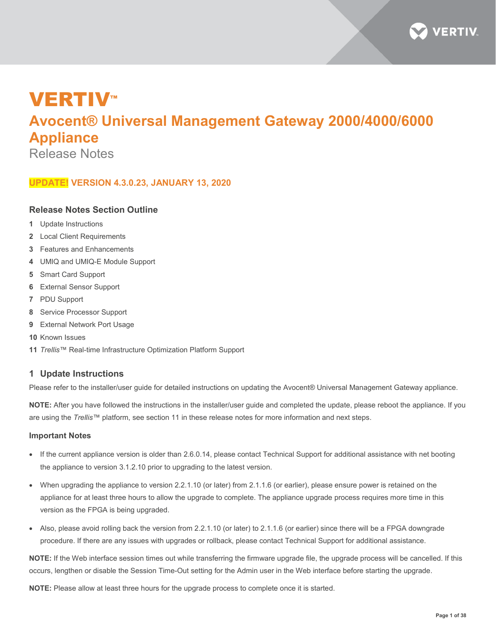

# **VERTIV™ Avocent® Universal Management Gateway 2000/4000/6000 Appliance**

Release Notes

# **UPDATE! VERSION 4.3.0.23, JANUARY 13, 2020**

# **Release Notes Section Outline**

- **1** Update Instructions
- **2** Local Client Requirements
- **3** Features and Enhancements
- **4** UMIQ and UMIQ-E Module Support
- **5** Smart Card Support
- **6** External Sensor Support
- **7** PDU Support
- **8** Service Processor Support
- **9** External Network Port Usage
- **10** Known Issues
- **11** *Trellis*™ Real-time Infrastructure Optimization Platform Support

# **1 Update Instructions**

Please refer to the installer/user guide for detailed instructions on updating the Avocent® Universal Management Gateway appliance.

**NOTE:** After you have followed the instructions in the installer/user guide and completed the update, please reboot the appliance. If you are using the *Trellis*™ platform, see section 11 in these release notes for more information and next steps.

#### **Important Notes**

- If the current appliance version is older than 2.6.0.14, please contact Technical Support for additional assistance with net booting the appliance to version 3.1.2.10 prior to upgrading to the latest version.
- When upgrading the appliance to version 2.2.1.10 (or later) from 2.1.1.6 (or earlier), please ensure power is retained on the appliance for at least three hours to allow the upgrade to complete. The appliance upgrade process requires more time in this version as the FPGA is being upgraded.
- Also, please avoid rolling back the version from 2.2.1.10 (or later) to 2.1.1.6 (or earlier) since there will be a FPGA downgrade procedure. If there are any issues with upgrades or rollback, please contact Technical Support for additional assistance.

**NOTE:** If the Web interface session times out while transferring the firmware upgrade file, the upgrade process will be cancelled. If this occurs, lengthen or disable the Session Time-Out setting for the Admin user in the Web interface before starting the upgrade.

**NOTE:** Please allow at least three hours for the upgrade process to complete once it is started.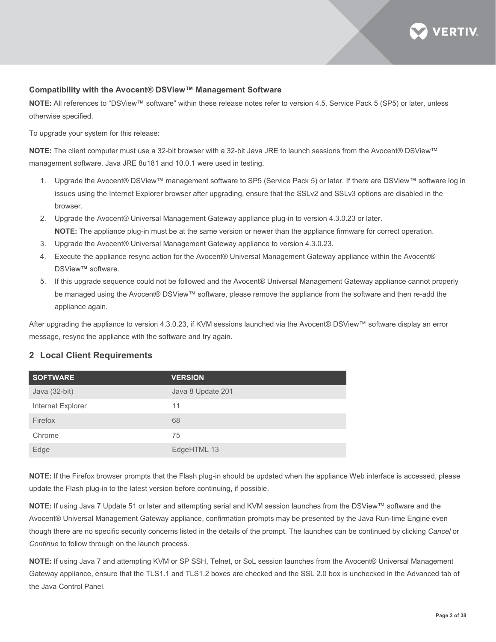

#### **Compatibility with the Avocent® DSView™ Management Software**

**NOTE:** All references to "DSView™ software" within these release notes refer to version 4.5, Service Pack 5 (SP5) or later, unless otherwise specified.

To upgrade your system for this release:

**NOTE:** The client computer must use a 32-bit browser with a 32-bit Java JRE to launch sessions from the Avocent® DSView™ management software. Java JRE 8u181 and 10.0.1 were used in testing.

- 1. Upgrade the Avocent® DSView™ management software to SP5 (Service Pack 5) or later. If there are DSView™ software log in issues using the Internet Explorer browser after upgrading, ensure that the SSLv2 and SSLv3 options are disabled in the browser.
- 2. Upgrade the Avocent® Universal Management Gateway appliance plug-in to version 4.3.0.23 or later. **NOTE:** The appliance plug-in must be at the same version or newer than the appliance firmware for correct operation.
- 3. Upgrade the Avocent® Universal Management Gateway appliance to version 4.3.0.23.
- 4. Execute the appliance resync action for the Avocent® Universal Management Gateway appliance within the Avocent® DSView<sup>™</sup> software.
- 5. If this upgrade sequence could not be followed and the Avocent® Universal Management Gateway appliance cannot properly be managed using the Avocent® DSView™ software, please remove the appliance from the software and then re-add the appliance again.

After upgrading the appliance to version 4.3.0.23, if KVM sessions launched via the Avocent® DSView™ software display an error message, resync the appliance with the software and try again.

#### **2 Local Client Requirements**

| <b>SOFTWARE</b>   | <b>VERSION</b>    |
|-------------------|-------------------|
| Java (32-bit)     | Java 8 Update 201 |
| Internet Explorer | 11                |
| Firefox           | 68                |
| Chrome            | 75                |
| Edge              | EdgeHTML 13       |

**NOTE:** If the Firefox browser prompts that the Flash plug-in should be updated when the appliance Web interface is accessed, please update the Flash plug-in to the latest version before continuing, if possible.

**NOTE:** If using Java 7 Update 51 or later and attempting serial and KVM session launches from the DSView™ software and the Avocent® Universal Management Gateway appliance, confirmation prompts may be presented by the Java Run-time Engine even though there are no specific security concerns listed in the details of the prompt. The launches can be continued by clicking *Cancel* or *Continue* to follow through on the launch process.

**NOTE:** If using Java 7 and attempting KVM or SP SSH, Telnet, or SoL session launches from the Avocent® Universal Management Gateway appliance, ensure that the TLS1.1 and TLS1.2 boxes are checked and the SSL 2.0 box is unchecked in the Advanced tab of the Java Control Panel.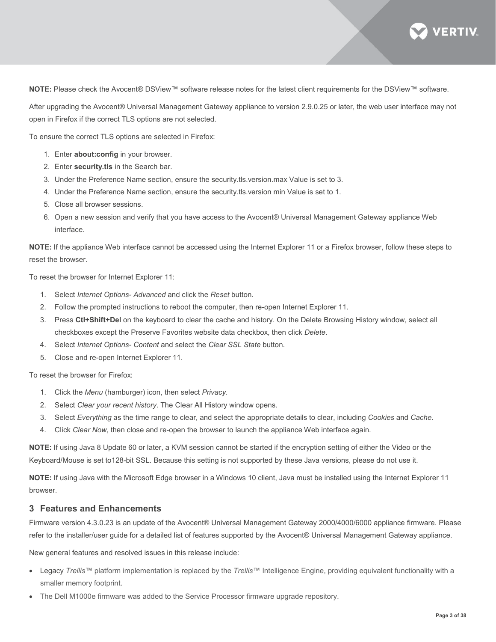

**NOTE:** Please check the Avocent® DSView™ software release notes for the latest client requirements for the DSView™ software.

After upgrading the Avocent® Universal Management Gateway appliance to version 2.9.0.25 or later, the web user interface may not open in Firefox if the correct TLS options are not selected.

To ensure the correct TLS options are selected in Firefox:

- 1. Enter **about:config** in your browser.
- 2. Enter **security.tls** in the Search bar.
- 3. Under the Preference Name section, ensure the security.tls.version.max Value is set to 3.
- 4. Under the Preference Name section, ensure the security.tls.version min Value is set to 1.
- 5. Close all browser sessions.
- 6. Open a new session and verify that you have access to the Avocent® Universal Management Gateway appliance Web interface.

**NOTE:** If the appliance Web interface cannot be accessed using the Internet Explorer 11 or a Firefox browser, follow these steps to reset the browser.

To reset the browser for Internet Explorer 11:

- 1. Select *Internet Options- Advanced* and click the *Reset* button.
- 2. Follow the prompted instructions to reboot the computer, then re-open Internet Explorer 11.
- 3. Press **Ctl+Shift+Del** on the keyboard to clear the cache and history. On the Delete Browsing History window, select all checkboxes except the Preserve Favorites website data checkbox, then click *Delete*.
- 4. Select *Internet Options- Content* and select the *Clear SSL State* button.
- 5. Close and re-open Internet Explorer 11.

To reset the browser for Firefox:

- 1. Click the *Menu* (hamburger) icon, then select *Privacy*.
- 2. Select *Clear your recent history*. The Clear All History window opens.
- 3. Select *Everything* as the time range to clear, and select the appropriate details to clear, including *Cookies* and *Cache*.
- 4. Click *Clear Now*, then close and re-open the browser to launch the appliance Web interface again.

**NOTE:** If using Java 8 Update 60 or later, a KVM session cannot be started if the encryption setting of either the Video or the Keyboard/Mouse is set to128-bit SSL. Because this setting is not supported by these Java versions, please do not use it.

**NOTE:** If using Java with the Microsoft Edge browser in a Windows 10 client, Java must be installed using the Internet Explorer 11 browser.

#### **3 Features and Enhancements**

Firmware version 4.3.0.23 is an update of the Avocent® Universal Management Gateway 2000/4000/6000 appliance firmware. Please refer to the installer/user guide for a detailed list of features supported by the Avocent® Universal Management Gateway appliance.

New general features and resolved issues in this release include:

- Legacy *Trellis*™ platform implementation is replaced by the *Trellis*™ Intelligence Engine, providing equivalent functionality with a smaller memory footprint.
- The Dell M1000e firmware was added to the Service Processor firmware upgrade repository.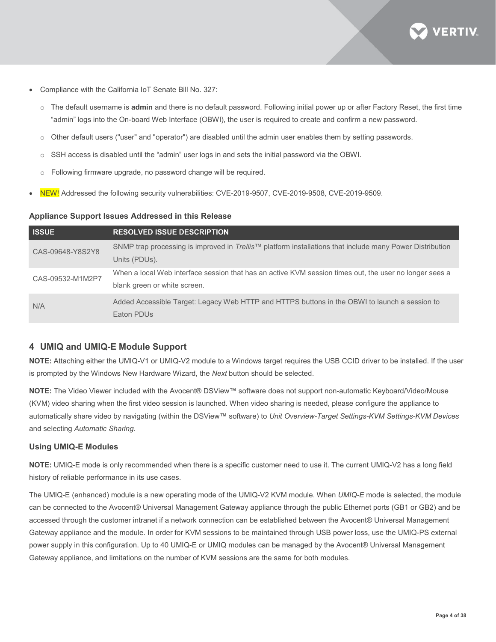

- Compliance with the California IoT Senate Bill No. 327:
	- o The default username is **admin** and there is no default password. Following initial power up or after Factory Reset, the first time "admin" logs into the On-board Web Interface (OBWI), the user is required to create and confirm a new password.
	- o Other default users ("user" and "operator") are disabled until the admin user enables them by setting passwords.
	- o SSH access is disabled until the "admin" user logs in and sets the initial password via the OBWI.
	- o Following firmware upgrade, no password change will be required.
- NEW! Addressed the following security vulnerabilities: CVE-2019-9507, CVE-2019-9508, CVE-2019-9509.

#### **Appliance Support Issues Addressed in this Release**

| <b>ISSUE</b>     | <b>RESOLVED ISSUE DESCRIPTION</b>                                                                                |
|------------------|------------------------------------------------------------------------------------------------------------------|
| CAS-09648-Y8S2Y8 | SNMP trap processing is improved in <i>Trellis</i> ™ platform installations that include many Power Distribution |
|                  | Units (PDUs).                                                                                                    |
| CAS-09532-M1M2P7 | When a local Web interface session that has an active KVM session times out, the user no longer sees a           |
|                  | blank green or white screen.                                                                                     |
| N/A              | Added Accessible Target: Legacy Web HTTP and HTTPS buttons in the OBWI to launch a session to<br>Eaton PDUs      |

# **4 UMIQ and UMIQ-E Module Support**

**NOTE:** Attaching either the UMIQ-V1 or UMIQ-V2 module to a Windows target requires the USB CCID driver to be installed. If the user is prompted by the Windows New Hardware Wizard, the *Next* button should be selected.

**NOTE:** The Video Viewer included with the Avocent® DSView™ software does not support non-automatic Keyboard/Video/Mouse (KVM) video sharing when the first video session is launched. When video sharing is needed, please configure the appliance to automatically share video by navigating (within the DSView™ software) to *Unit Overview-Target Settings-KVM Settings-KVM Devices* and selecting *Automatic Sharing*.

#### **Using UMIQ-E Modules**

**NOTE:** UMIQ-E mode is only recommended when there is a specific customer need to use it. The current UMIQ-V2 has a long field history of reliable performance in its use cases.

The UMIQ-E (enhanced) module is a new operating mode of the UMIQ-V2 KVM module. When *UMIQ-E* mode is selected, the module can be connected to the Avocent® Universal Management Gateway appliance through the public Ethernet ports (GB1 or GB2) and be accessed through the customer intranet if a network connection can be established between the Avocent® Universal Management Gateway appliance and the module. In order for KVM sessions to be maintained through USB power loss, use the UMIQ-PS external power supply in this configuration. Up to 40 UMIQ-E or UMIQ modules can be managed by the Avocent® Universal Management Gateway appliance, and limitations on the number of KVM sessions are the same for both modules.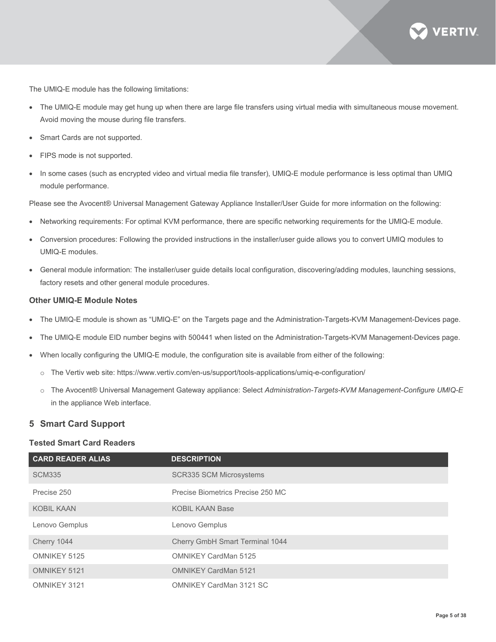

The UMIQ-E module has the following limitations:

- The UMIQ-E module may get hung up when there are large file transfers using virtual media with simultaneous mouse movement. Avoid moving the mouse during file transfers.
- Smart Cards are not supported.
- FIPS mode is not supported.
- In some cases (such as encrypted video and virtual media file transfer), UMIQ-E module performance is less optimal than UMIQ module performance.

Please see the Avocent® Universal Management Gateway Appliance Installer/User Guide for more information on the following:

- Networking requirements: For optimal KVM performance, there are specific networking requirements for the UMIQ-E module.
- Conversion procedures: Following the provided instructions in the installer/user guide allows you to convert UMIQ modules to UMIQ-E modules.
- General module information: The installer/user guide details local configuration, discovering/adding modules, launching sessions, factory resets and other general module procedures.

#### **Other UMIQ-E Module Notes**

- The UMIQ-E module is shown as "UMIQ-E" on the Targets page and the Administration-Targets-KVM Management-Devices page.
- The UMIQ-E module EID number begins with 500441 when listed on the Administration-Targets-KVM Management-Devices page.
- When locally configuring the UMIQ-E module, the configuration site is available from either of the following:
	- o The Vertiv web site[: https://www.vertiv.com/en-us/support/tools-applications/umiq-e-configuration/](https://www.vertiv.com/en-us/support/tools-applications/umiq-e-configuration/)
	- o The Avocent® Universal Management Gateway appliance: Select *Administration-Targets-KVM Management-Configure UMIQ-E*  in the appliance Web interface.

# **5 Smart Card Support**

#### **Tested Smart Card Readers**

| <b>CARD READER ALIAS</b> | <b>DESCRIPTION</b>                |
|--------------------------|-----------------------------------|
| <b>SCM335</b>            | <b>SCR335 SCM Microsystems</b>    |
| Precise 250              | Precise Biometrics Precise 250 MC |
| <b>KOBIL KAAN</b>        | <b>KOBIL KAAN Base</b>            |
| Lenovo Gemplus           | Lenovo Gemplus                    |
| Cherry 1044              | Cherry GmbH Smart Terminal 1044   |
| OMNIKEY 5125             | <b>OMNIKEY CardMan 5125</b>       |
| OMNIKEY 5121             | <b>OMNIKEY CardMan 5121</b>       |
| OMNIKEY 3121             | <b>OMNIKEY CardMan 3121 SC</b>    |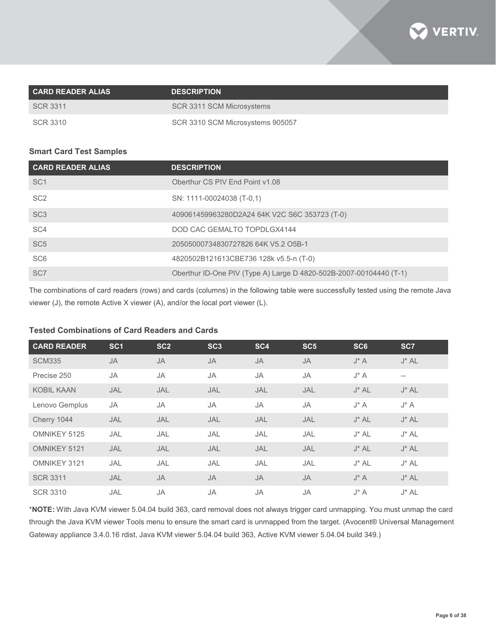

| <b>CARD READER ALIAS</b> | <b>DESCRIPTION</b>               |
|--------------------------|----------------------------------|
| SCR 3311                 | SCR 3311 SCM Microsystems        |
| SCR 3310                 | SCR 3310 SCM Microsystems 905057 |

# **Smart Card Test Samples**

| <b>CARD READER ALIAS</b> | <b>DESCRIPTION</b>                                                 |
|--------------------------|--------------------------------------------------------------------|
| SC <sub>1</sub>          | Oberthur CS PIV End Point v1.08                                    |
| SC <sub>2</sub>          | SN: 1111-00024038 (T-0,1)                                          |
| SC <sub>3</sub>          | 409061459963280D2A24 64K V2C S6C 353723 (T-0)                      |
| SC <sub>4</sub>          | DOD CAC GEMALTO TOPDLGX4144                                        |
| SC <sub>5</sub>          | 20505000734830727826 64K V5.2 O5B-1                                |
| SC <sub>6</sub>          | 4820502B121613CBE736 128k v5.5-n (T-0)                             |
| SC <sub>7</sub>          | Oberthur ID-One PIV (Type A) Large D 4820-502B-2007-00104440 (T-1) |

The combinations of card readers (rows) and cards (columns) in the following table were successfully tested using the remote Java viewer (J), the remote Active X viewer (A), and/or the local port viewer (L).

# **Tested Combinations of Card Readers and Cards**

| <b>CARD READER</b> | SC <sub>1</sub> | SC <sub>2</sub> | SC <sub>3</sub> | SC <sub>4</sub> | SC <sub>5</sub> | SC <sub>6</sub> | SC <sub>7</sub>   |
|--------------------|-----------------|-----------------|-----------------|-----------------|-----------------|-----------------|-------------------|
| <b>SCM335</b>      | <b>JA</b>       | <b>JA</b>       | <b>JA</b>       | <b>JA</b>       | <b>JA</b>       | $J^* A$         | $J^*$ AL          |
| Precise 250        | JA              | JA              | JA              | <b>JA</b>       | JA              | $J^* A$         | $\qquad \qquad -$ |
| <b>KOBIL KAAN</b>  | JAL             | JAL             | JAL             | JAL             | JAL             | $J^*$ AL        | $J^*$ AL          |
| Lenovo Gemplus     | JA              | JA              | JA              | <b>JA</b>       | JA              | $J^* A$         | $J^* A$           |
| Cherry 1044        | JAL             | JAL             | JAL             | JAL             | JAL             | $J^*$ AL        | $J^*$ AL          |
| OMNIKEY 5125       | JAL             | JAL             | JAL             | JAL             | JAL             | $J^*$ AL        | $J^*$ AL          |
| OMNIKEY 5121       | JAL             | JAL             | JAL             | JAL             | JAL             | $J^*$ AL        | $J^*$ AL          |
| OMNIKEY 3121       | JAL             | JAL             | JAL             | JAL             | JAL             | $J^*$ AL        | $J^*$ AL          |
| <b>SCR 3311</b>    | JAL             | <b>JA</b>       | <b>JA</b>       | <b>JA</b>       | <b>JA</b>       | $J^* A$         | $J^*$ AL          |
| <b>SCR 3310</b>    | JAL             | <b>JA</b>       | <b>JA</b>       | <b>JA</b>       | JA              | $J^* A$         | $J^*$ AL          |

\***NOTE:** With Java KVM viewer 5.04.04 build 363, card removal does not always trigger card unmapping. You must unmap the card through the Java KVM viewer Tools menu to ensure the smart card is unmapped from the target. (Avocent® Universal Management Gateway appliance 3.4.0.16 rdist, Java KVM viewer 5.04.04 build 363, Active KVM viewer 5.04.04 build 349.)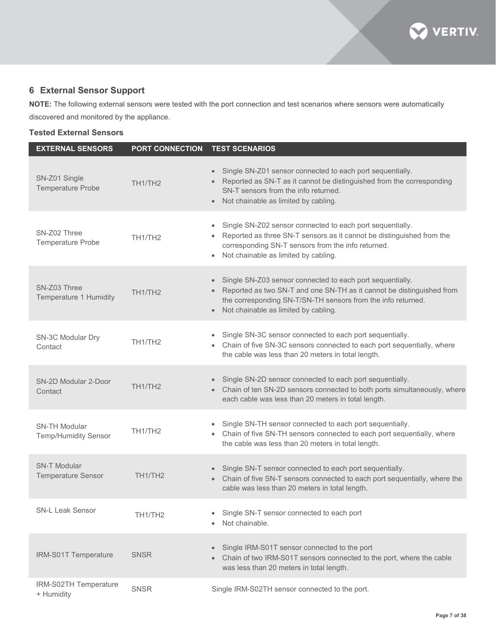

# **6 External Sensor Support**

**NOTE:** The following external sensors were tested with the port connection and test scenarios where sensors were automatically discovered and monitored by the appliance.

# **Tested External Sensors**

| <b>EXTERNAL SENSORS</b>                             | <b>PORT CONNECTION</b> | <b>TEST SCENARIOS</b>                                                                                                                                                                                                                                                             |
|-----------------------------------------------------|------------------------|-----------------------------------------------------------------------------------------------------------------------------------------------------------------------------------------------------------------------------------------------------------------------------------|
| SN-Z01 Single<br><b>Temperature Probe</b>           | TH <sub>1/TH2</sub>    | Single SN-Z01 sensor connected to each port sequentially.<br>Reported as SN-T as it cannot be distinguished from the corresponding<br>SN-T sensors from the info returned.<br>Not chainable as limited by cabling.<br>$\bullet$                                                   |
| SN-Z02 Three<br><b>Temperature Probe</b>            | TH <sub>1/TH2</sub>    | Single SN-Z02 sensor connected to each port sequentially.<br>$\bullet$<br>Reported as three SN-T sensors as it cannot be distinguished from the<br>$\bullet$<br>corresponding SN-T sensors from the info returned.<br>Not chainable as limited by cabling.<br>$\bullet$           |
| SN-Z03 Three<br>Temperature 1 Humidity              | TH <sub>1/TH2</sub>    | Single SN-Z03 sensor connected to each port sequentially.<br>$\bullet$<br>Reported as two SN-T and one SN-TH as it cannot be distinguished from<br>$\bullet$<br>the corresponding SN-T/SN-TH sensors from the info returned.<br>Not chainable as limited by cabling.<br>$\bullet$ |
| SN-3C Modular Dry<br>Contact                        | TH <sub>1/TH2</sub>    | Single SN-3C sensor connected to each port sequentially.<br>$\bullet$<br>Chain of five SN-3C sensors connected to each port sequentially, where<br>$\bullet$<br>the cable was less than 20 meters in total length.                                                                |
| SN-2D Modular 2-Door<br>Contact                     | TH1/TH2                | Single SN-2D sensor connected to each port sequentially.<br>$\bullet$<br>• Chain of ten SN-2D sensors connected to both ports simultaneously, where<br>each cable was less than 20 meters in total length.                                                                        |
| <b>SN-TH Modular</b><br><b>Temp/Humidity Sensor</b> | TH <sub>1/TH2</sub>    | Single SN-TH sensor connected to each port sequentially.<br>• Chain of five SN-TH sensors connected to each port sequentially, where<br>the cable was less than 20 meters in total length.                                                                                        |
| <b>SN-T Modular</b><br><b>Temperature Sensor</b>    | TH <sub>1/TH2</sub>    | Single SN-T sensor connected to each port sequentially.<br>$\bullet$<br>• Chain of five SN-T sensors connected to each port sequentially, where the<br>cable was less than 20 meters in total length.                                                                             |
| <b>SN-L Leak Sensor</b>                             | TH1/TH2                | Single SN-T sensor connected to each port<br>$\bullet$<br>Not chainable.                                                                                                                                                                                                          |
| IRM-S01T Temperature                                | <b>SNSR</b>            | Single IRM-S01T sensor connected to the port<br>$\bullet$<br>Chain of two IRM-S01T sensors connected to the port, where the cable<br>$\bullet$<br>was less than 20 meters in total length.                                                                                        |
| IRM-S02TH Temperature<br>+ Humidity                 | <b>SNSR</b>            | Single IRM-S02TH sensor connected to the port.                                                                                                                                                                                                                                    |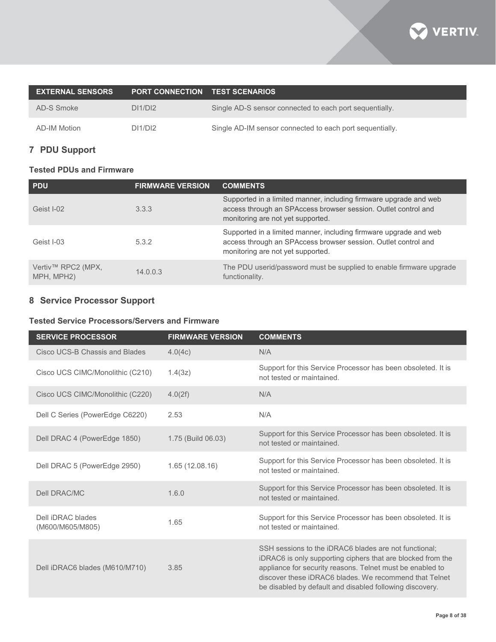

| <b>EXTERNAL SENSORS</b> | <b>PORT CONNECTION TEST SCENARIOS</b> |                                                          |
|-------------------------|---------------------------------------|----------------------------------------------------------|
| AD-S Smoke              | DI1/D12                               | Single AD-S sensor connected to each port sequentially.  |
| AD-IM Motion            | DI1/DI2                               | Single AD-IM sensor connected to each port sequentially. |

# **7 PDU Support**

# **Tested PDUs and Firmware**

| <b>PDU</b>                       | <b>FIRMWARE VERSION</b> | <b>COMMENTS</b>                                                                                                                                                          |
|----------------------------------|-------------------------|--------------------------------------------------------------------------------------------------------------------------------------------------------------------------|
| Geist I-02                       | 3.3.3                   | Supported in a limited manner, including firmware upgrade and web<br>access through an SPAccess browser session. Outlet control and<br>monitoring are not yet supported. |
| Geist I-03                       | 5.3.2                   | Supported in a limited manner, including firmware upgrade and web<br>access through an SPAccess browser session. Outlet control and<br>monitoring are not yet supported. |
| Vertiv™ RPC2 (MPX,<br>MPH, MPH2) | 14.0.0.3                | The PDU userid/password must be supplied to enable firmware upgrade<br>functionality.                                                                                    |

# **8 Service Processor Support**

# **Tested Service Processors/Servers and Firmware**

| <b>SERVICE PROCESSOR</b>              | <b>FIRMWARE VERSION</b> | <b>COMMENTS</b>                                                                                                                                                                                                                                                                                         |
|---------------------------------------|-------------------------|---------------------------------------------------------------------------------------------------------------------------------------------------------------------------------------------------------------------------------------------------------------------------------------------------------|
| Cisco UCS-B Chassis and Blades        | 4.0(4c)                 | N/A                                                                                                                                                                                                                                                                                                     |
| Cisco UCS CIMC/Monolithic (C210)      | 1.4(3z)                 | Support for this Service Processor has been obsoleted. It is<br>not tested or maintained.                                                                                                                                                                                                               |
| Cisco UCS CIMC/Monolithic (C220)      | 4.0(2f)                 | N/A                                                                                                                                                                                                                                                                                                     |
| Dell C Series (PowerEdge C6220)       | 2.53                    | N/A                                                                                                                                                                                                                                                                                                     |
| Dell DRAC 4 (PowerEdge 1850)          | 1.75 (Build 06.03)      | Support for this Service Processor has been obsoleted. It is<br>not tested or maintained.                                                                                                                                                                                                               |
| Dell DRAC 5 (PowerEdge 2950)          | 1.65(12.08.16)          | Support for this Service Processor has been obsoleted. It is<br>not tested or maintained.                                                                                                                                                                                                               |
| <b>Dell DRAC/MC</b>                   | 1.6.0                   | Support for this Service Processor has been obsoleted. It is<br>not tested or maintained.                                                                                                                                                                                                               |
| Dell iDRAC blades<br>(M600/M605/M805) | 1.65                    | Support for this Service Processor has been obsoleted. It is<br>not tested or maintained.                                                                                                                                                                                                               |
| Dell iDRAC6 blades (M610/M710)        | 3.85                    | SSH sessions to the iDRAC6 blades are not functional:<br>iDRAC6 is only supporting ciphers that are blocked from the<br>appliance for security reasons. Telnet must be enabled to<br>discover these iDRAC6 blades. We recommend that Telnet<br>be disabled by default and disabled following discovery. |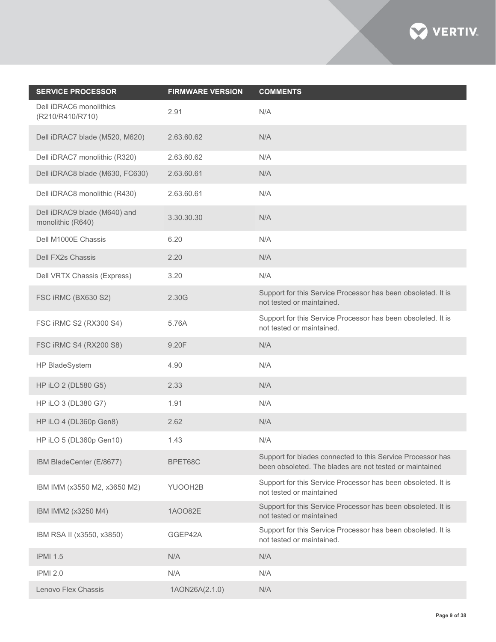

| <b>SERVICE PROCESSOR</b>                          | <b>FIRMWARE VERSION</b> | <b>COMMENTS</b>                                                                                                       |
|---------------------------------------------------|-------------------------|-----------------------------------------------------------------------------------------------------------------------|
| Dell iDRAC6 monolithics<br>(R210/R410/R710)       | 2.91                    | N/A                                                                                                                   |
| Dell iDRAC7 blade (M520, M620)                    | 2.63.60.62              | N/A                                                                                                                   |
| Dell iDRAC7 monolithic (R320)                     | 2.63.60.62              | N/A                                                                                                                   |
| Dell iDRAC8 blade (M630, FC630)                   | 2.63.60.61              | N/A                                                                                                                   |
| Dell iDRAC8 monolithic (R430)                     | 2.63.60.61              | N/A                                                                                                                   |
| Dell iDRAC9 blade (M640) and<br>monolithic (R640) | 3.30.30.30              | N/A                                                                                                                   |
| Dell M1000E Chassis                               | 6.20                    | N/A                                                                                                                   |
| Dell FX2s Chassis                                 | 2.20                    | N/A                                                                                                                   |
| Dell VRTX Chassis (Express)                       | 3.20                    | N/A                                                                                                                   |
| FSC iRMC (BX630 S2)                               | 2.30G                   | Support for this Service Processor has been obsoleted. It is<br>not tested or maintained.                             |
| FSC iRMC S2 (RX300 S4)                            | 5.76A                   | Support for this Service Processor has been obsoleted. It is<br>not tested or maintained.                             |
| FSC iRMC S4 (RX200 S8)                            | 9.20F                   | N/A                                                                                                                   |
| HP BladeSystem                                    | 4.90                    | N/A                                                                                                                   |
| HP iLO 2 (DL580 G5)                               | 2.33                    | N/A                                                                                                                   |
| HP iLO 3 (DL380 G7)                               | 1.91                    | N/A                                                                                                                   |
| HP iLO 4 (DL360p Gen8)                            | 2.62                    | N/A                                                                                                                   |
| HP iLO 5 (DL360p Gen10)                           | 1.43                    | N/A                                                                                                                   |
| IBM BladeCenter (E/8677)                          | BPET68C                 | Support for blades connected to this Service Processor has<br>been obsoleted. The blades are not tested or maintained |
| IBM IMM (x3550 M2, x3650 M2)                      | YUOOH2B                 | Support for this Service Processor has been obsoleted. It is<br>not tested or maintained                              |
| IBM IMM2 (x3250 M4)                               | 1AOO82E                 | Support for this Service Processor has been obsoleted. It is<br>not tested or maintained                              |
| IBM RSA II (x3550, x3850)                         | GGEP42A                 | Support for this Service Processor has been obsoleted. It is<br>not tested or maintained.                             |
| <b>IPMI 1.5</b>                                   | N/A                     | N/A                                                                                                                   |
| <b>IPMI 2.0</b>                                   | N/A                     | N/A                                                                                                                   |
| Lenovo Flex Chassis                               | 1AON26A(2.1.0)          | N/A                                                                                                                   |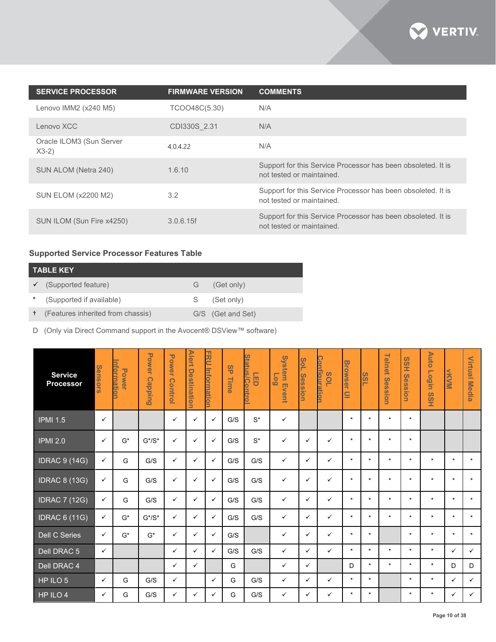

| <b>SERVICE PROCESSOR</b>            | <b>FIRMWARE VERSION</b> | <b>COMMENTS</b>                                                                           |
|-------------------------------------|-------------------------|-------------------------------------------------------------------------------------------|
| Lenovo IMM2 (x240 M5)               | TCOO48C(5.30)           | N/A                                                                                       |
| Lenovo XCC                          | CDI330S 2.31            | N/A                                                                                       |
| Oracle ILOM3 (Sun Server<br>$X3-2)$ | 4.0.4.22                | N/A                                                                                       |
| SUN ALOM (Netra 240)                | 1.6.10                  | Support for this Service Processor has been obsoleted. It is<br>not tested or maintained. |
| <b>SUN ELOM (x2200 M2)</b>          | 3.2                     | Support for this Service Processor has been obsoleted. It is<br>not tested or maintained. |
| SUN ILOM (Sun Fire x4250)           | 3.0.6.15f               | Support for this Service Processor has been obsoleted. It is<br>not tested or maintained. |

# **Supported Service Processor Features Table**

| <b>TABLE KEY</b>                    |    |                   |  |  |  |  |  |  |  |  |
|-------------------------------------|----|-------------------|--|--|--|--|--|--|--|--|
| $\checkmark$ (Supported feature)    | G. | (Get only)        |  |  |  |  |  |  |  |  |
| (Supported if available)            | S  | (Set only)        |  |  |  |  |  |  |  |  |
| + (Features inherited from chassis) |    | G/S (Get and Set) |  |  |  |  |  |  |  |  |

D (Only via Direct Command support in the Avocent® DSView™ software)

| <b>Service</b><br><b>Processor</b> | Sensors      | <u>nformatio</u><br><b>Power</b> | <b>Power</b><br><b>Capping</b> | <b>Power</b><br><b>Control</b> | <b>Alert</b><br>Destination | コカ<br><u>Information</u> | 95<br>Time | <b>Status/Contro</b><br>凹 | <b>System Event</b><br><b>Go</b> | SoL<br><b>Session</b> | <b>Configuration</b><br><b>POL</b> | <b>Browser</b><br>$\subseteq$ | ທ<br>$\overline{5}$ | <b>Telnet</b><br><b>Session</b> | <b>HSS</b><br><b>Session</b> | <b>Auto</b><br><b>Login</b><br>$\boldsymbol{\omega}$<br>ΟH<br>Η | NKVM         | Virtual<br><b>Media</b> |
|------------------------------------|--------------|----------------------------------|--------------------------------|--------------------------------|-----------------------------|--------------------------|------------|---------------------------|----------------------------------|-----------------------|------------------------------------|-------------------------------|---------------------|---------------------------------|------------------------------|-----------------------------------------------------------------|--------------|-------------------------|
| IPM11.5                            | $\checkmark$ |                                  |                                | ✓                              | $\checkmark$                | $\checkmark$             | G/S        | $S^*$                     | $\checkmark$                     |                       |                                    | $\star$                       | $\star$             | $\star$                         | $\star$                      |                                                                 |              |                         |
| <b>IPMI 2.0</b>                    | $\checkmark$ | $G^*$                            | $G^*/S^*$                      | ✓                              | $\checkmark$                | $\checkmark$             | G/S        | $\mathsf{S}^{\star}$      | $\checkmark$                     | $\checkmark$          | $\checkmark$                       | $\star$                       | $\star$             | $\star$                         | $\star$                      |                                                                 |              |                         |
| <b>IDRAC 9 (14G)</b>               | $\checkmark$ | G                                | G/S                            | $\checkmark$                   | $\checkmark$                | $\checkmark$             | G/S        | G/S                       | $\checkmark$                     | $\checkmark$          | $\checkmark$                       | $\star$                       | $\star$             | $\star$                         | $\star$                      | $\star$                                                         | $\star$      | $\star$                 |
| <b>IDRAC 8 (13G)</b>               | $\checkmark$ | G                                | G/S                            | $\checkmark$                   | $\checkmark$                | $\checkmark$             | G/S        | G/S                       | $\checkmark$                     | $\checkmark$          | $\checkmark$                       | $\star$                       | $\star$             | $\star$                         | $\star$                      | $\star$                                                         | $\star$      | $\star$                 |
| <b>IDRAC 7 (12G)</b>               | $\checkmark$ | G                                | G/S                            | $\checkmark$                   | $\checkmark$                | $\checkmark$             | G/S        | G/S                       | $\checkmark$                     | $\checkmark$          | ✓                                  | $\star$                       | $\star$             | $\star$                         | $\star$                      | $\star$                                                         | $\star$      | $\star$                 |
| <b>IDRAC 6 (11G)</b>               | $\checkmark$ | G*                               | $G^*/S^*$                      | ✓                              | $\checkmark$                | $\checkmark$             | G/S        | G/S                       | $\checkmark$                     | $\checkmark$          | ✓                                  | $\star$                       | $\star$             | $\star$                         | $\star$                      | $\star$                                                         | $\star$      | $\star$                 |
| Dell C Series                      | $\checkmark$ | $G^*$                            | $G^*$                          | ✓                              | $\checkmark$                | $\checkmark$             | G/S        |                           | ✓                                | $\checkmark$          | ✓                                  | $\star$                       | $\star$             |                                 | $\star$                      | $\star$                                                         | $\star$      | $\star$                 |
| Dell DRAC 5                        | $\checkmark$ |                                  |                                | $\checkmark$                   | $\checkmark$                | $\checkmark$             | G/S        | G/S                       | $\checkmark$                     | $\checkmark$          | ✓                                  | $\star$                       | $\star$             | $\star$                         | $\star$                      | $\star$                                                         | ✓            | ✓                       |
| Dell DRAC 4                        |              |                                  |                                | $\checkmark$                   | $\checkmark$                |                          | G          |                           | $\checkmark$                     | $\checkmark$          |                                    | D                             | $\star$             | $\star$                         | $\star$                      | $\star$                                                         | D            | D                       |
| HP ILO 5                           | $\checkmark$ | G                                | G/S                            | $\checkmark$                   |                             | $\checkmark$             | G          | G/S                       | $\checkmark$                     | $\checkmark$          | ✓                                  | $\star$                       | $\star$             |                                 | $\star$                      | $\star$                                                         | $\checkmark$ | $\checkmark$            |
| HP ILO 4                           | ✓            | G                                | G/S                            | $\checkmark$                   | $\checkmark$                | $\checkmark$             | G          | G/S                       | $\checkmark$                     | $\checkmark$          | $\checkmark$                       | $\star$                       | $\star$             |                                 | $\star$                      | $\star$                                                         | $\checkmark$ | $\checkmark$            |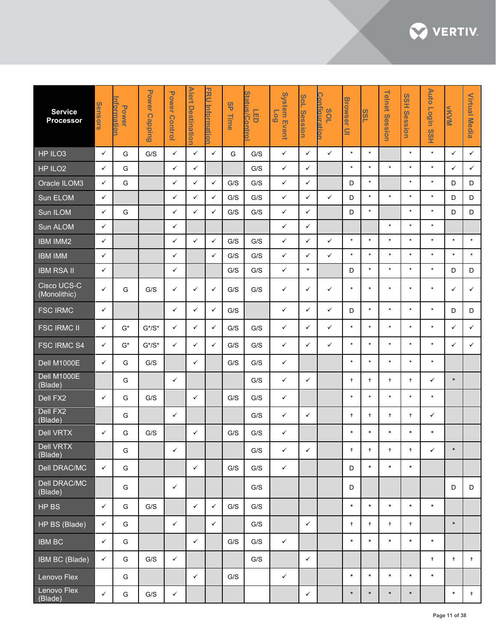

| <b>Service</b><br><b>Processor</b> | <b>Sensors</b> | <u>nformatior</u><br><b>Power</b> | <b>Power</b><br><b>Capping</b> | <b>Power Control</b> | <b>Alert</b><br><b>Destination</b> | FRU<br>Informatior | <b>SP</b><br>Time | <b>Status/Con</b><br>语<br>5 | <b>System Event</b><br>607 | SoL<br><b>Session</b> | <b>Configuration</b><br><b>70S</b> | <b>Browser</b><br>$\subseteq$ | ဖ<br>$\boldsymbol{\omega}$ | <b>Telnet</b><br>Session | <b>SSH</b><br>Session | <b>Auto</b><br>Login<br><b>SSH</b> | KVM          | <b>Virtual Media</b> |
|------------------------------------|----------------|-----------------------------------|--------------------------------|----------------------|------------------------------------|--------------------|-------------------|-----------------------------|----------------------------|-----------------------|------------------------------------|-------------------------------|----------------------------|--------------------------|-----------------------|------------------------------------|--------------|----------------------|
| HP ILO3                            | $\checkmark$   | G                                 | G/S                            | $\checkmark$         | ✓                                  | $\checkmark$       | G                 | G/S                         | $\checkmark$               | $\checkmark$          | $\checkmark$                       | $\star$                       | $\star$                    |                          | $\star$               | $\star$                            | $\checkmark$ | $\checkmark$         |
| HP ILO <sub>2</sub>                | $\checkmark$   | G                                 |                                | $\checkmark$         | ✓                                  |                    |                   | G/S                         | $\checkmark$               | $\checkmark$          |                                    | $\star$                       | $\star$                    | $\star$                  | $\star$               | $\star$                            | $\checkmark$ | $\checkmark$         |
| Oracle ILOM3                       | ✓              | G                                 |                                | $\checkmark$         | ✓                                  | $\checkmark$       | G/S               | G/S                         | $\checkmark$               | ✓                     |                                    | D                             | $\star$                    |                          | $\star$               | $\star$                            | D            | D                    |
| Sun ELOM                           | $\checkmark$   |                                   |                                | ✓                    | ✓                                  | $\checkmark$       | G/S               | G/S                         | $\checkmark$               | ✓                     | $\checkmark$                       | D                             | $\star$                    | $\star$                  | $\star$               | $\star$                            | D            | D                    |
| Sun ILOM                           | $\checkmark$   | G                                 |                                | $\checkmark$         | ✓                                  | $\checkmark$       | G/S               | G/S                         | $\checkmark$               | ✓                     |                                    | D                             | $\star$                    |                          | $\star$               | $\star$                            | D            | D                    |
| Sun ALOM                           | $\checkmark$   |                                   |                                | $\checkmark$         |                                    |                    |                   |                             | $\checkmark$               | ✓                     |                                    |                               |                            | $\star$                  | $\star$               | $\star$                            |              |                      |
| <b>IBM IMM2</b>                    | $\checkmark$   |                                   |                                | $\checkmark$         | ✓                                  | $\checkmark$       | G/S               | G/S                         | $\checkmark$               | ✓                     | $\checkmark$                       | $\star$                       | $\star$                    | $\star$                  | $\star$               | $\star$                            | $\star$      | $\star$              |
| <b>IBM IMM</b>                     | $\checkmark$   |                                   |                                | $\checkmark$         |                                    | $\checkmark$       | G/S               | G/S                         | $\checkmark$               | ✓                     | $\checkmark$                       | $\star$                       | $\star$                    | $\star$                  | $\star$               | $\star$                            | $\star$      | $\star$              |
| <b>IBM RSA II</b>                  | $\checkmark$   |                                   |                                | $\checkmark$         |                                    |                    | G/S               | G/S                         | $\checkmark$               | $\ast$                |                                    | D                             | $\star$                    | $\star$                  | $\star$               | $\star$                            | D            | D                    |
| Cisco UCS-C<br>(Monolithic)        | ✓              | G                                 | G/S                            | $\checkmark$         | ✓                                  | $\checkmark$       | G/S               | G/S                         | $\checkmark$               | ✓                     | ✓                                  | $\star$                       | $\star$                    | $\star$                  | $\star$               | $\star$                            | ✓            | ✓                    |
| <b>FSC IRMC</b>                    | $\checkmark$   |                                   |                                | $\checkmark$         | $\checkmark$                       | $\checkmark$       | G/S               |                             | $\checkmark$               | $\checkmark$          | $\checkmark$                       | D                             | $\star$                    | $\star$                  | $\star$               | $\star$                            | D            | D                    |
| <b>FSC IRMC II</b>                 | ✓              | G*                                | $G^*/S^*$                      | $\checkmark$         | ✓                                  | $\checkmark$       | G/S               | G/S                         | $\checkmark$               | $\checkmark$          | ✓                                  | $\star$                       | $\star$                    | $\star$                  | $\star$               | $\star$                            | ✓            | ✓                    |
| <b>FSC IRMC S4</b>                 | $\checkmark$   | $G^*$                             | $G^*/S^*$                      | $\checkmark$         | ✓                                  | $\checkmark$       | G/S               | G/S                         | $\checkmark$               | ✓                     | ✓                                  | $\star$                       | $\star$                    | $\star$                  | $\star$               | $\star$                            | ✓            | $\checkmark$         |
| Dell M1000E                        | $\checkmark$   | G                                 | G/S                            |                      | ✓                                  |                    | G/S               | G/S                         | $\checkmark$               |                       |                                    | $\star$                       | $\star$                    | $\star$                  | $\star$               | $\star$                            |              |                      |
| Dell M1000E<br>(Blade)             |                | G                                 |                                | $\checkmark$         |                                    |                    |                   | G/S                         | $\checkmark$               | ✓                     |                                    | $\ddagger$                    | $\ddagger$                 | $\ddagger$               | $\ddagger$            | ✓                                  | $\ast$       |                      |
| Dell FX2                           | $\checkmark$   | G                                 | G/S                            |                      | ✓                                  |                    | G/S               | G/S                         | $\checkmark$               |                       |                                    | $\star$                       | $\star$                    | $\star$                  | $\star$               | $\star$                            |              |                      |
| Dell FX2<br>(Blade)                |                | G                                 |                                | $\checkmark$         |                                    |                    |                   | G/S                         | ✓                          | ✓                     |                                    | $^{+}$                        | $^{+}$                     | $\ddagger$               | $^{+}$                | ✓                                  |              |                      |
| <b>Dell VRTX</b>                   | ✓              | G                                 | G/S                            |                      | ✓                                  |                    | G/S               | G/S                         | $\checkmark$               |                       |                                    | $\ast$                        | $\ast$                     | $\ast$                   | $\ast$                | $\ast$                             |              |                      |
| Dell VRTX<br>(Blade)               |                | G                                 |                                | $\checkmark$         |                                    |                    |                   | $\mathsf{G}/\mathsf{S}$     | $\checkmark$               | $\checkmark$          |                                    | $^{+}$                        | $\ddagger$                 | $^{+}$                   | $^{+}$                | $\checkmark$                       | $\ast$       |                      |
| Dell DRAC/MC                       | $\checkmark$   | G                                 |                                |                      | $\checkmark$                       |                    | $\mathrm{G/S}$    | G/S                         | $\checkmark$               |                       |                                    | D                             | $\ast$                     | $\ast$                   | $\ast$                |                                    |              |                      |
| Dell DRAC/MC<br>(Blade)            |                | G                                 |                                | $\checkmark$         |                                    |                    |                   | G/S                         |                            |                       |                                    | D                             |                            |                          |                       |                                    | D            | D                    |
| HP BS                              | $\checkmark$   | G                                 | G/S                            |                      | $\checkmark$                       | $\checkmark$       | G/S               | G/S                         |                            |                       |                                    | $\ast$                        | $\ast$                     | $\ast$                   | $\ast$                | $\ast$                             |              |                      |
| HP BS (Blade)                      | $\checkmark$   | G                                 |                                | $\checkmark$         |                                    | $\checkmark$       |                   | G/S                         |                            | $\checkmark$          |                                    | $\ddagger$                    | $\ddagger$                 | $+$                      | $+$                   |                                    | $\ast$       |                      |
| <b>IBM BC</b>                      | $\checkmark$   | G                                 |                                |                      | $\checkmark$                       |                    | G/S               | G/S                         | $\checkmark$               |                       |                                    | $\ast$                        | $\ast$                     | $\ast$                   | $\ast$                | $\ast$                             |              |                      |
| IBM BC (Blade)                     | $\checkmark$   | G                                 | G/S                            | $\checkmark$         |                                    |                    |                   | G/S                         |                            | $\checkmark$          |                                    |                               |                            |                          |                       | $+$                                | $\ddagger$   | $+$                  |
| Lenovo Flex                        |                | G                                 |                                |                      | $\checkmark$                       |                    | G/S               |                             | $\checkmark$               |                       |                                    | $\ast$                        | $\ast$                     | $\ast$                   | $\ast$                | $\ast$                             |              |                      |
| Lenovo Flex<br>(Blade)             | $\checkmark$   | G                                 | G/S                            | $\checkmark$         |                                    |                    |                   |                             |                            | $\checkmark$          |                                    | $\ast$                        | $\ast$                     | $\ast$                   | $\ast$                |                                    | $\ast$       | $+$                  |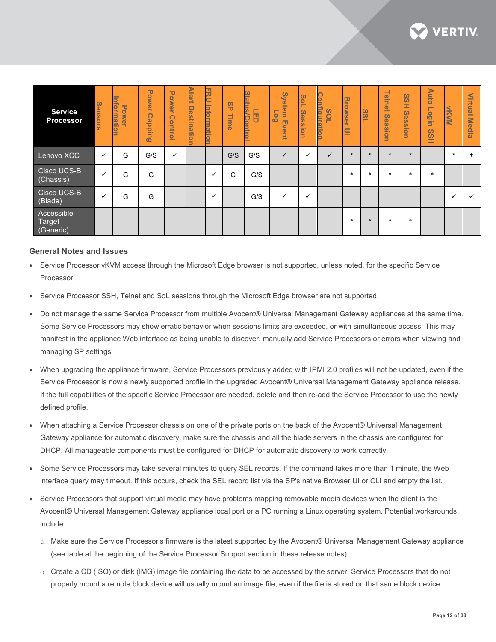

| <b>Service</b><br><b>Processor</b> | Sensors      | <b>nformatic</b><br><b>Power</b> | Power<br>$\rightarrow$<br><b>Cappin</b><br>$\omega$ | <b>Power</b><br>Ä<br>C)<br>ontro<br>- | <b>Alert</b><br><b>Destination</b> | 공<br>┕<br><b>Inform</b><br>ation | <b>9P</b><br>⊣<br>lime<br>I | Ē<br>$\overline{\phantom{a}}$<br>/Co<br>凹 | <b>System</b><br>$\overline{\phantom{a}}$<br><u>.<br/>60</u><br>m<br>ivent | Sol<br><b>Session</b> | Configuration<br>SOL | <b>Browser</b><br>$\subseteq$ | <u>ssi</u> | 르<br>$\Rightarrow$<br>$\overline{9}$<br><b>Se</b><br>$\overline{0}$<br>$\omega$<br>ğ | <b>SSH</b><br>Sess<br>ion<br>B | <b>Auto</b><br>$\overline{\phantom{a}}$<br>u <u>ibo</u><br><b>SSH</b> | <b>NNVN</b> | $\sim$<br>$\equiv$<br>₫<br>►<br>$\omega$<br>=<br>Me<br><u>요.</u><br>$\omega$ |
|------------------------------------|--------------|----------------------------------|-----------------------------------------------------|---------------------------------------|------------------------------------|----------------------------------|-----------------------------|-------------------------------------------|----------------------------------------------------------------------------|-----------------------|----------------------|-------------------------------|------------|--------------------------------------------------------------------------------------|--------------------------------|-----------------------------------------------------------------------|-------------|------------------------------------------------------------------------------|
| Lenovo XCC                         | $\checkmark$ | G                                | G/S                                                 | $\checkmark$                          |                                    |                                  | G/S                         | G/S                                       | $\checkmark$                                                               | $\check{ }$           |                      |                               | $\ast$     | $\ast$                                                                               | $\ast$                         |                                                                       | $\ast$      |                                                                              |
| Cisco UCS-B<br>(Chassis)           |              | G                                | G                                                   |                                       |                                    |                                  | G                           | G/S                                       |                                                                            |                       |                      | $\ast$                        | $\ast$     | $\ast$                                                                               | $\ast$                         | $\ast$                                                                |             |                                                                              |
| Cisco UCS-B<br>(Blade)             | $\checkmark$ | G                                | G                                                   |                                       |                                    | $\checkmark$                     |                             | G/S                                       | ✓                                                                          | ✓                     |                      |                               |            |                                                                                      |                                |                                                                       | ✓           |                                                                              |
| Accessible<br>Target<br>(Generic)  |              |                                  |                                                     |                                       |                                    |                                  |                             |                                           |                                                                            |                       |                      | $\mathbf{r}$                  | $\ast$     | $\ast$                                                                               | $\ast$                         |                                                                       |             |                                                                              |

#### **General Notes and Issues**

- Service Processor vKVM access through the Microsoft Edge browser is not supported, unless noted, for the specific Service Processor.
- Service Processor SSH, Telnet and SoL sessions through the Microsoft Edge browser are not supported.
- Do not manage the same Service Processor from multiple Avocent® Universal Management Gateway appliances at the same time. Some Service Processors may show erratic behavior when sessions limits are exceeded, or with simultaneous access. This may manifest in the appliance Web interface as being unable to discover, manually add Service Processors or errors when viewing and managing SP settings.
- When upgrading the appliance firmware, Service Processors previously added with IPMI 2.0 profiles will not be updated, even if the Service Processor is now a newly supported profile in the upgraded Avocent® Universal Management Gateway appliance release. If the full capabilities of the specific Service Processor are needed, delete and then re-add the Service Processor to use the newly defined profile.
- When attaching a Service Processor chassis on one of the private ports on the back of the Avocent® Universal Management Gateway appliance for automatic discovery, make sure the chassis and all the blade servers in the chassis are configured for DHCP. All manageable components must be configured for DHCP for automatic discovery to work correctly.
- Some Service Processors may take several minutes to query SEL records. If the command takes more than 1 minute, the Web interface query may timeout. If this occurs, check the SEL record list via the SP's native Browser UI or CLI and empty the list.
- Service Processors that support virtual media may have problems mapping removable media devices when the client is the Avocent® Universal Management Gateway appliance local port or a PC running a Linux operating system. Potential workarounds include:
	- o Make sure the Service Processor's firmware is the latest supported by the Avocent® Universal Management Gateway appliance (see table at the beginning of the Service Processor Support section in these release notes).
	- o Create a CD (ISO) or disk (IMG) image file containing the data to be accessed by the server. Service Processors that do not properly mount a remote block device will usually mount an image file, even if the file is stored on that same block device.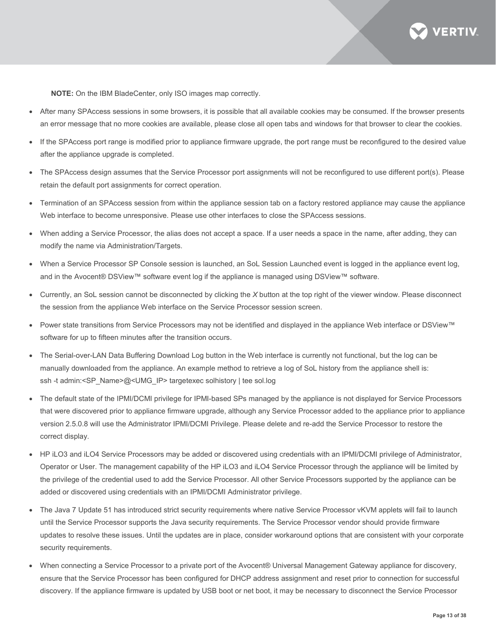

**NOTE:** On the IBM BladeCenter, only ISO images map correctly.

- After many SPAccess sessions in some browsers, it is possible that all available cookies may be consumed. If the browser presents an error message that no more cookies are available, please close all open tabs and windows for that browser to clear the cookies.
- If the SPAccess port range is modified prior to appliance firmware upgrade, the port range must be reconfigured to the desired value after the appliance upgrade is completed.
- The SPAccess design assumes that the Service Processor port assignments will not be reconfigured to use different port(s). Please retain the default port assignments for correct operation.
- Termination of an SPAccess session from within the appliance session tab on a factory restored appliance may cause the appliance Web interface to become unresponsive. Please use other interfaces to close the SPAccess sessions.
- When adding a Service Processor, the alias does not accept a space. If a user needs a space in the name, after adding, they can modify the name via Administration/Targets.
- When a Service Processor SP Console session is launched, an SoL Session Launched event is logged in the appliance event log, and in the Avocent® DSView™ software event log if the appliance is managed using DSView™ software.
- Currently, an SoL session cannot be disconnected by clicking the *X* button at the top right of the viewer window. Please disconnect the session from the appliance Web interface on the Service Processor session screen.
- Power state transitions from Service Processors may not be identified and displayed in the appliance Web interface or DSView™ software for up to fifteen minutes after the transition occurs.
- The Serial-over-LAN Data Buffering Download Log button in the Web interface is currently not functional, but the log can be manually downloaded from the appliance. An example method to retrieve a log of SoL history from the appliance shell is: ssh -t admin:<SP\_Name>@<UMG\_IP> targetexec solhistory | tee sol.log
- The default state of the IPMI/DCMI privilege for IPMI-based SPs managed by the appliance is not displayed for Service Processors that were discovered prior to appliance firmware upgrade, although any Service Processor added to the appliance prior to appliance version 2.5.0.8 will use the Administrator IPMI/DCMI Privilege. Please delete and re-add the Service Processor to restore the correct display.
- HP iLO3 and iLO4 Service Processors may be added or discovered using credentials with an IPMI/DCMI privilege of Administrator, Operator or User. The management capability of the HP iLO3 and iLO4 Service Processor through the appliance will be limited by the privilege of the credential used to add the Service Processor. All other Service Processors supported by the appliance can be added or discovered using credentials with an IPMI/DCMI Administrator privilege.
- The Java 7 Update 51 has introduced strict security requirements where native Service Processor vKVM applets will fail to launch until the Service Processor supports the Java security requirements. The Service Processor vendor should provide firmware updates to resolve these issues. Until the updates are in place, consider workaround options that are consistent with your corporate security requirements.
- When connecting a Service Processor to a private port of the Avocent® Universal Management Gateway appliance for discovery, ensure that the Service Processor has been configured for DHCP address assignment and reset prior to connection for successful discovery. If the appliance firmware is updated by USB boot or net boot, it may be necessary to disconnect the Service Processor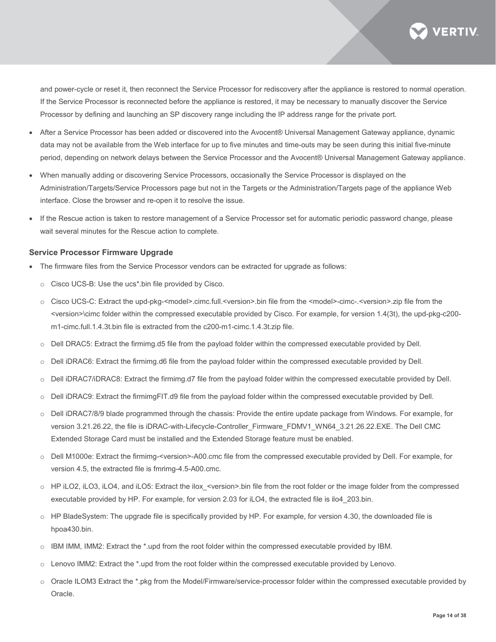

and power-cycle or reset it, then reconnect the Service Processor for rediscovery after the appliance is restored to normal operation. If the Service Processor is reconnected before the appliance is restored, it may be necessary to manually discover the Service Processor by defining and launching an SP discovery range including the IP address range for the private port.

- After a Service Processor has been added or discovered into the Avocent® Universal Management Gateway appliance, dynamic data may not be available from the Web interface for up to five minutes and time-outs may be seen during this initial five-minute period, depending on network delays between the Service Processor and the Avocent® Universal Management Gateway appliance.
- When manually adding or discovering Service Processors, occasionally the Service Processor is displayed on the Administration/Targets/Service Processors page but not in the Targets or the Administration/Targets page of the appliance Web interface. Close the browser and re-open it to resolve the issue.
- If the Rescue action is taken to restore management of a Service Processor set for automatic periodic password change, please wait several minutes for the Rescue action to complete.

#### **Service Processor Firmware Upgrade**

- The firmware files from the Service Processor vendors can be extracted for upgrade as follows:
	- o Cisco UCS-B: Use the ucs\*.bin file provided by Cisco.
	- o Cisco UCS-C: Extract the upd-pkg-<model>.cimc.full.<version>.bin file from the <model>-cimc-.<version>.zip file from the <version>\cimc folder within the compressed executable provided by Cisco. For example, for version 1.4(3t), the upd-pkg-c200 m1-cimc.full.1.4.3t.bin file is extracted from the c200-m1-cimc.1.4.3t.zip file.
	- o Dell DRAC5: Extract the firmimg.d5 file from the payload folder within the compressed executable provided by Dell.
	- o Dell iDRAC6: Extract the firmimg.d6 file from the payload folder within the compressed executable provided by Dell.
	- o Dell iDRAC7/iDRAC8: Extract the firmimg.d7 file from the payload folder within the compressed executable provided by Dell.
	- o Dell iDRAC9: Extract the firmimgFIT.d9 file from the payload folder within the compressed executable provided by Dell.
	- o Dell iDRAC7/8/9 blade programmed through the chassis: Provide the entire update package from Windows. For example, for version 3.21.26.22, the file is iDRAC-with-Lifecycle-Controller\_Firmware\_FDMV1\_WN64\_3.21.26.22.EXE. The Dell CMC Extended Storage Card must be installed and the Extended Storage feature must be enabled.
	- o Dell M1000e: Extract the firmimg-<version>-A00.cmc file from the compressed executable provided by Dell. For example, for version 4.5, the extracted file is fmrimg-4.5-A00.cmc.
	- o HP iLO2, iLO3, iLO4, and iLO5: Extract the ilox <version>.bin file from the root folder or the image folder from the compressed executable provided by HP. For example, for version 2.03 for iLO4, the extracted file is ilo4\_203.bin.
	- o HP BladeSystem: The upgrade file is specifically provided by HP. For example, for version 4.30, the downloaded file is hpoa430.bin.
	- o IBM IMM, IMM2: Extract the \*.upd from the root folder within the compressed executable provided by IBM.
	- Lenovo IMM2: Extract the \*.upd from the root folder within the compressed executable provided by Lenovo.
	- o Oracle ILOM3 Extract the \*.pkg from the Model/Firmware/service-processor folder within the compressed executable provided by Oracle.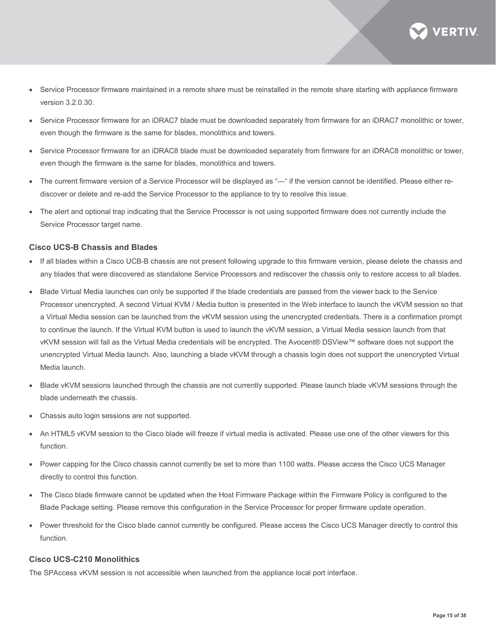**VERTIV** 

- Service Processor firmware maintained in a remote share must be reinstalled in the remote share starting with appliance firmware version 3.2.0.30.
- Service Processor firmware for an iDRAC7 blade must be downloaded separately from firmware for an iDRAC7 monolithic or tower, even though the firmware is the same for blades, monolithics and towers.
- Service Processor firmware for an iDRAC8 blade must be downloaded separately from firmware for an iDRAC8 monolithic or tower, even though the firmware is the same for blades, monolithics and towers.
- The current firmware version of a Service Processor will be displayed as "---" if the version cannot be identified. Please either rediscover or delete and re-add the Service Processor to the appliance to try to resolve this issue.
- The alert and optional trap indicating that the Service Processor is not using supported firmware does not currently include the Service Processor target name.

# **Cisco UCS-B Chassis and Blades**

- If all blades within a Cisco UCB-B chassis are not present following upgrade to this firmware version, please delete the chassis and any blades that were discovered as standalone Service Processors and rediscover the chassis only to restore access to all blades.
- Blade Virtual Media launches can only be supported if the blade credentials are passed from the viewer back to the Service Processor unencrypted. A second Virtual KVM / Media button is presented in the Web interface to launch the vKVM session so that a Virtual Media session can be launched from the vKVM session using the unencrypted credentials. There is a confirmation prompt to continue the launch. If the Virtual KVM button is used to launch the vKVM session, a Virtual Media session launch from that vKVM session will fail as the Virtual Media credentials will be encrypted. The Avocent® DSView™ software does not support the unencrypted Virtual Media launch. Also, launching a blade vKVM through a chassis login does not support the unencrypted Virtual Media launch.
- Blade vKVM sessions launched through the chassis are not currently supported. Please launch blade vKVM sessions through the blade underneath the chassis.
- Chassis auto login sessions are not supported.
- An HTML5 vKVM session to the Cisco blade will freeze if virtual media is activated. Please use one of the other viewers for this function.
- Power capping for the Cisco chassis cannot currently be set to more than 1100 watts. Please access the Cisco UCS Manager directly to control this function.
- The Cisco blade firmware cannot be updated when the Host Firmware Package within the Firmware Policy is configured to the Blade Package setting. Please remove this configuration in the Service Processor for proper firmware update operation.
- Power threshold for the Cisco blade cannot currently be configured. Please access the Cisco UCS Manager directly to control this function.

#### **Cisco UCS-C210 Monolithics**

The SPAccess vKVM session is not accessible when launched from the appliance local port interface.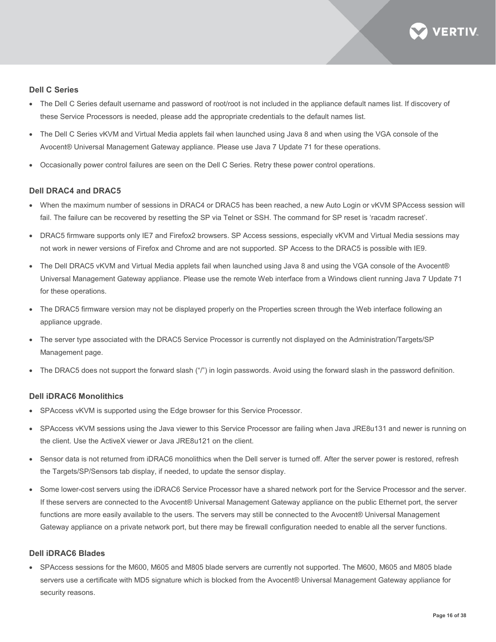

#### **Dell C Series**

- The Dell C Series default username and password of root/root is not included in the appliance default names list. If discovery of these Service Processors is needed, please add the appropriate credentials to the default names list.
- The Dell C Series vKVM and Virtual Media applets fail when launched using Java 8 and when using the VGA console of the Avocent® Universal Management Gateway appliance. Please use Java 7 Update 71 for these operations.
- Occasionally power control failures are seen on the Dell C Series. Retry these power control operations.

#### **Dell DRAC4 and DRAC5**

- When the maximum number of sessions in DRAC4 or DRAC5 has been reached, a new Auto Login or vKVM SPAccess session will fail. The failure can be recovered by resetting the SP via Telnet or SSH. The command for SP reset is 'racadm racreset'.
- DRAC5 firmware supports only IE7 and Firefox2 browsers. SP Access sessions, especially vKVM and Virtual Media sessions may not work in newer versions of Firefox and Chrome and are not supported. SP Access to the DRAC5 is possible with IE9.
- The Dell DRAC5 vKVM and Virtual Media applets fail when launched using Java 8 and using the VGA console of the Avocent® Universal Management Gateway appliance. Please use the remote Web interface from a Windows client running Java 7 Update 71 for these operations.
- The DRAC5 firmware version may not be displayed properly on the Properties screen through the Web interface following an appliance upgrade.
- The server type associated with the DRAC5 Service Processor is currently not displayed on the Administration/Targets/SP Management page.
- The DRAC5 does not support the forward slash ("/") in login passwords. Avoid using the forward slash in the password definition.

# **Dell iDRAC6 Monolithics**

- SPAccess vKVM is supported using the Edge browser for this Service Processor.
- SPAccess vKVM sessions using the Java viewer to this Service Processor are failing when Java JRE8u131 and newer is running on the client. Use the ActiveX viewer or Java JRE8u121 on the client.
- Sensor data is not returned from iDRAC6 monolithics when the Dell server is turned off. After the server power is restored, refresh the Targets/SP/Sensors tab display, if needed, to update the sensor display.
- Some lower-cost servers using the iDRAC6 Service Processor have a shared network port for the Service Processor and the server. If these servers are connected to the Avocent® Universal Management Gateway appliance on the public Ethernet port, the server functions are more easily available to the users. The servers may still be connected to the Avocent® Universal Management Gateway appliance on a private network port, but there may be firewall configuration needed to enable all the server functions.

## **Dell iDRAC6 Blades**

• SPAccess sessions for the M600, M605 and M805 blade servers are currently not supported. The M600, M605 and M805 blade servers use a certificate with MD5 signature which is blocked from the Avocent® Universal Management Gateway appliance for security reasons.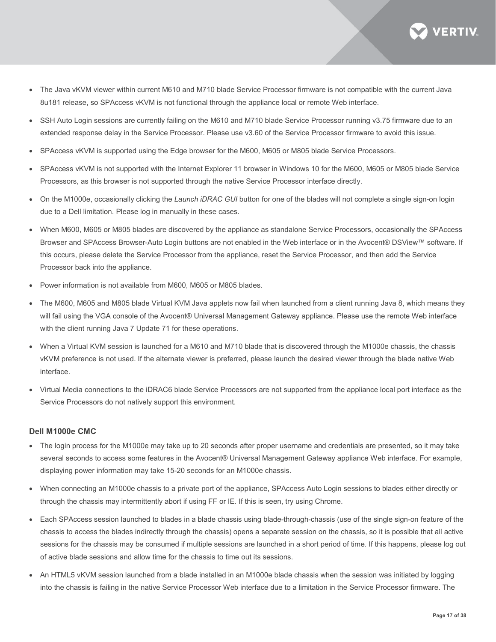

- The Java vKVM viewer within current M610 and M710 blade Service Processor firmware is not compatible with the current Java 8u181 release, so SPAccess vKVM is not functional through the appliance local or remote Web interface.
- SSH Auto Login sessions are currently failing on the M610 and M710 blade Service Processor running v3.75 firmware due to an extended response delay in the Service Processor. Please use v3.60 of the Service Processor firmware to avoid this issue.
- SPAccess vKVM is supported using the Edge browser for the M600, M605 or M805 blade Service Processors.
- SPAccess vKVM is not supported with the Internet Explorer 11 browser in Windows 10 for the M600, M605 or M805 blade Service Processors, as this browser is not supported through the native Service Processor interface directly.
- On the M1000e, occasionally clicking the *Launch iDRAC GUI* button for one of the blades will not complete a single sign-on login due to a Dell limitation. Please log in manually in these cases.
- When M600, M605 or M805 blades are discovered by the appliance as standalone Service Processors, occasionally the SPAccess Browser and SPAccess Browser-Auto Login buttons are not enabled in the Web interface or in the Avocent® DSView™ software. If this occurs, please delete the Service Processor from the appliance, reset the Service Processor, and then add the Service Processor back into the appliance.
- Power information is not available from M600, M605 or M805 blades.
- The M600, M605 and M805 blade Virtual KVM Java applets now fail when launched from a client running Java 8, which means they will fail using the VGA console of the Avocent® Universal Management Gateway appliance. Please use the remote Web interface with the client running Java 7 Update 71 for these operations.
- When a Virtual KVM session is launched for a M610 and M710 blade that is discovered through the M1000e chassis, the chassis vKVM preference is not used. If the alternate viewer is preferred, please launch the desired viewer through the blade native Web interface.
- Virtual Media connections to the iDRAC6 blade Service Processors are not supported from the appliance local port interface as the Service Processors do not natively support this environment.

#### **Dell M1000e CMC**

- The login process for the M1000e may take up to 20 seconds after proper username and credentials are presented, so it may take several seconds to access some features in the Avocent® Universal Management Gateway appliance Web interface. For example, displaying power information may take 15-20 seconds for an M1000e chassis.
- When connecting an M1000e chassis to a private port of the appliance, SPAccess Auto Login sessions to blades either directly or through the chassis may intermittently abort if using FF or IE. If this is seen, try using Chrome.
- Each SPAccess session launched to blades in a blade chassis using blade-through-chassis (use of the single sign-on feature of the chassis to access the blades indirectly through the chassis) opens a separate session on the chassis, so it is possible that all active sessions for the chassis may be consumed if multiple sessions are launched in a short period of time. If this happens, please log out of active blade sessions and allow time for the chassis to time out its sessions.
- An HTML5 vKVM session launched from a blade installed in an M1000e blade chassis when the session was initiated by logging into the chassis is failing in the native Service Processor Web interface due to a limitation in the Service Processor firmware. The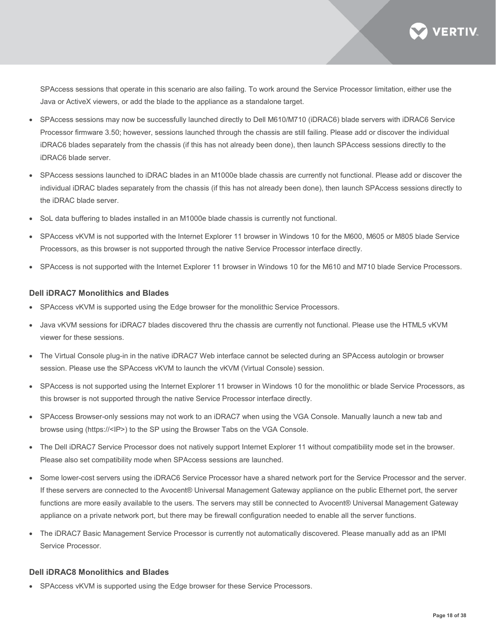**VERTIV** 

SPAccess sessions that operate in this scenario are also failing. To work around the Service Processor limitation, either use the Java or ActiveX viewers, or add the blade to the appliance as a standalone target.

- SPAccess sessions may now be successfully launched directly to Dell M610/M710 (iDRAC6) blade servers with iDRAC6 Service Processor firmware 3.50; however, sessions launched through the chassis are still failing. Please add or discover the individual iDRAC6 blades separately from the chassis (if this has not already been done), then launch SPAccess sessions directly to the iDRAC6 blade server.
- SPAccess sessions launched to iDRAC blades in an M1000e blade chassis are currently not functional. Please add or discover the individual iDRAC blades separately from the chassis (if this has not already been done), then launch SPAccess sessions directly to the iDRAC blade server.
- SoL data buffering to blades installed in an M1000e blade chassis is currently not functional.
- SPAccess vKVM is not supported with the Internet Explorer 11 browser in Windows 10 for the M600, M605 or M805 blade Service Processors, as this browser is not supported through the native Service Processor interface directly.
- SPAccess is not supported with the Internet Explorer 11 browser in Windows 10 for the M610 and M710 blade Service Processors.

#### **Dell iDRAC7 Monolithics and Blades**

- SPAccess vKVM is supported using the Edge browser for the monolithic Service Processors.
- Java vKVM sessions for iDRAC7 blades discovered thru the chassis are currently not functional. Please use the HTML5 vKVM viewer for these sessions.
- The Virtual Console plug-in in the native iDRAC7 Web interface cannot be selected during an SPAccess autologin or browser session. Please use the SPAccess vKVM to launch the vKVM (Virtual Console) session.
- SPAccess is not supported using the Internet Explorer 11 browser in Windows 10 for the monolithic or blade Service Processors, as this browser is not supported through the native Service Processor interface directly.
- SPAccess Browser-only sessions may not work to an iDRAC7 when using the VGA Console. Manually launch a new tab and browse using (https://<IP>) to the SP using the Browser Tabs on the VGA Console.
- The Dell iDRAC7 Service Processor does not natively support Internet Explorer 11 without compatibility mode set in the browser. Please also set compatibility mode when SPAccess sessions are launched.
- Some lower-cost servers using the iDRAC6 Service Processor have a shared network port for the Service Processor and the server. If these servers are connected to the Avocent® Universal Management Gateway appliance on the public Ethernet port, the server functions are more easily available to the users. The servers may still be connected to Avocent® Universal Management Gateway appliance on a private network port, but there may be firewall configuration needed to enable all the server functions.
- The iDRAC7 Basic Management Service Processor is currently not automatically discovered. Please manually add as an IPMI Service Processor.

#### **Dell iDRAC8 Monolithics and Blades**

• SPAccess vKVM is supported using the Edge browser for these Service Processors.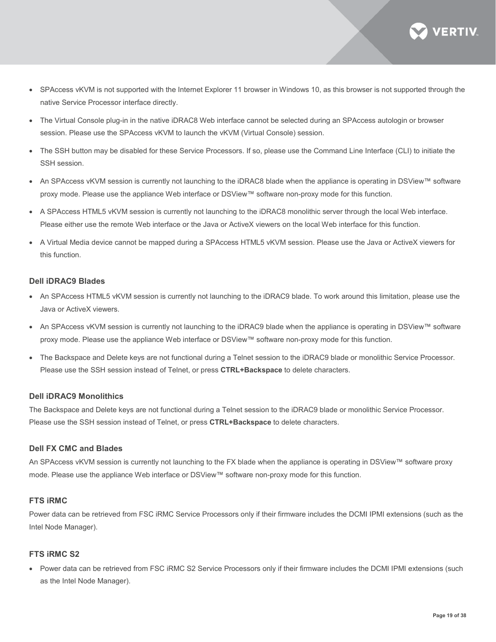

- SPAccess vKVM is not supported with the Internet Explorer 11 browser in Windows 10, as this browser is not supported through the native Service Processor interface directly.
- The Virtual Console plug-in in the native iDRAC8 Web interface cannot be selected during an SPAccess autologin or browser session. Please use the SPAccess vKVM to launch the vKVM (Virtual Console) session.
- The SSH button may be disabled for these Service Processors. If so, please use the Command Line Interface (CLI) to initiate the SSH session.
- An SPAccess vKVM session is currently not launching to the iDRAC8 blade when the appliance is operating in DSView™ software proxy mode. Please use the appliance Web interface or DSView™ software non-proxy mode for this function.
- A SPAccess HTML5 vKVM session is currently not launching to the iDRAC8 monolithic server through the local Web interface. Please either use the remote Web interface or the Java or ActiveX viewers on the local Web interface for this function.
- A Virtual Media device cannot be mapped during a SPAccess HTML5 vKVM session. Please use the Java or ActiveX viewers for this function.

#### **Dell iDRAC9 Blades**

- An SPAccess HTML5 vKVM session is currently not launching to the iDRAC9 blade. To work around this limitation, please use the Java or ActiveX viewers.
- An SPAccess vKVM session is currently not launching to the iDRAC9 blade when the appliance is operating in DSView™ software proxy mode. Please use the appliance Web interface or DSView™ software non-proxy mode for this function.
- The Backspace and Delete keys are not functional during a Telnet session to the iDRAC9 blade or monolithic Service Processor. Please use the SSH session instead of Telnet, or press **CTRL+Backspace** to delete characters.

#### **Dell iDRAC9 Monolithics**

The Backspace and Delete keys are not functional during a Telnet session to the iDRAC9 blade or monolithic Service Processor. Please use the SSH session instead of Telnet, or press **CTRL+Backspace** to delete characters.

#### **Dell FX CMC and Blades**

An SPAccess vKVM session is currently not launching to the FX blade when the appliance is operating in DSView™ software proxy mode. Please use the appliance Web interface or DSView™ software non-proxy mode for this function.

### **FTS iRMC**

Power data can be retrieved from FSC iRMC Service Processors only if their firmware includes the DCMI IPMI extensions (such as the Intel Node Manager).

#### **FTS iRMC S2**

• Power data can be retrieved from FSC iRMC S2 Service Processors only if their firmware includes the DCMI IPMI extensions (such as the Intel Node Manager).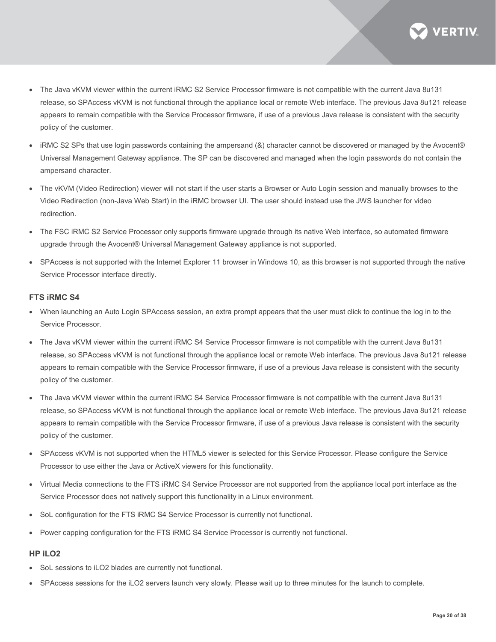

- The Java vKVM viewer within the current iRMC S2 Service Processor firmware is not compatible with the current Java 8u131 release, so SPAccess vKVM is not functional through the appliance local or remote Web interface. The previous Java 8u121 release appears to remain compatible with the Service Processor firmware, if use of a previous Java release is consistent with the security policy of the customer.
- iRMC S2 SPs that use login passwords containing the ampersand (&) character cannot be discovered or managed by the Avocent® Universal Management Gateway appliance. The SP can be discovered and managed when the login passwords do not contain the ampersand character.
- The vKVM (Video Redirection) viewer will not start if the user starts a Browser or Auto Login session and manually browses to the Video Redirection (non-Java Web Start) in the iRMC browser UI. The user should instead use the JWS launcher for video redirection.
- The FSC iRMC S2 Service Processor only supports firmware upgrade through its native Web interface, so automated firmware upgrade through the Avocent® Universal Management Gateway appliance is not supported.
- SPAccess is not supported with the Internet Explorer 11 browser in Windows 10, as this browser is not supported through the native Service Processor interface directly.

#### **FTS iRMC S4**

- When launching an Auto Login SPAccess session, an extra prompt appears that the user must click to continue the log in to the Service Processor.
- The Java vKVM viewer within the current iRMC S4 Service Processor firmware is not compatible with the current Java 8u131 release, so SPAccess vKVM is not functional through the appliance local or remote Web interface. The previous Java 8u121 release appears to remain compatible with the Service Processor firmware, if use of a previous Java release is consistent with the security policy of the customer.
- The Java vKVM viewer within the current iRMC S4 Service Processor firmware is not compatible with the current Java 8u131 release, so SPAccess vKVM is not functional through the appliance local or remote Web interface. The previous Java 8u121 release appears to remain compatible with the Service Processor firmware, if use of a previous Java release is consistent with the security policy of the customer.
- SPAccess vKVM is not supported when the HTML5 viewer is selected for this Service Processor. Please configure the Service Processor to use either the Java or ActiveX viewers for this functionality.
- Virtual Media connections to the FTS iRMC S4 Service Processor are not supported from the appliance local port interface as the Service Processor does not natively support this functionality in a Linux environment.
- SoL configuration for the FTS iRMC S4 Service Processor is currently not functional.
- Power capping configuration for the FTS iRMC S4 Service Processor is currently not functional.

# **HP iLO2**

- SoL sessions to iLO2 blades are currently not functional.
- SPAccess sessions for the iLO2 servers launch very slowly. Please wait up to three minutes for the launch to complete.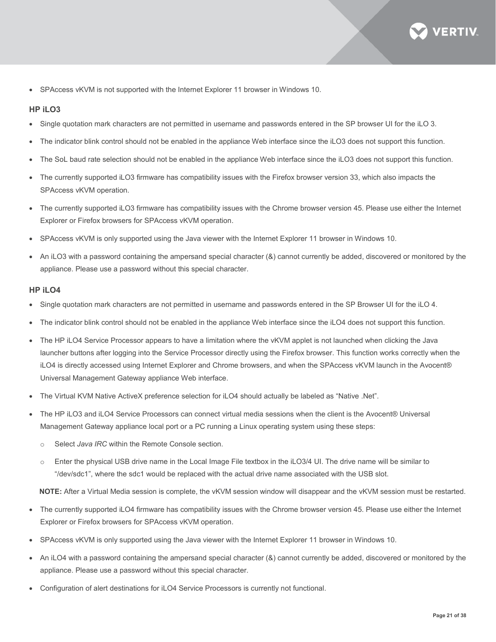

• SPAccess vKVM is not supported with the Internet Explorer 11 browser in Windows 10.

#### **HP iLO3**

- Single quotation mark characters are not permitted in username and passwords entered in the SP browser UI for the iLO 3.
- The indicator blink control should not be enabled in the appliance Web interface since the iLO3 does not support this function.
- The SoL baud rate selection should not be enabled in the appliance Web interface since the iLO3 does not support this function.
- The currently supported iLO3 firmware has compatibility issues with the Firefox browser version 33, which also impacts the SPAccess vKVM operation.
- The currently supported iLO3 firmware has compatibility issues with the Chrome browser version 45. Please use either the Internet Explorer or Firefox browsers for SPAccess vKVM operation.
- SPAccess vKVM is only supported using the Java viewer with the Internet Explorer 11 browser in Windows 10.
- An iLO3 with a password containing the ampersand special character (&) cannot currently be added, discovered or monitored by the appliance. Please use a password without this special character.

#### **HP iLO4**

- Single quotation mark characters are not permitted in username and passwords entered in the SP Browser UI for the iLO 4.
- The indicator blink control should not be enabled in the appliance Web interface since the iLO4 does not support this function.
- The HP iLO4 Service Processor appears to have a limitation where the vKVM applet is not launched when clicking the Java launcher buttons after logging into the Service Processor directly using the Firefox browser. This function works correctly when the iLO4 is directly accessed using Internet Explorer and Chrome browsers, and when the SPAccess vKVM launch in the Avocent® Universal Management Gateway appliance Web interface.
- The Virtual KVM Native ActiveX preference selection for iLO4 should actually be labeled as "Native .Net".
- The HP iLO3 and iLO4 Service Processors can connect virtual media sessions when the client is the Avocent® Universal Management Gateway appliance local port or a PC running a Linux operating system using these steps:
	- o Select *Java IRC* within the Remote Console section.
	- o Enter the physical USB drive name in the Local Image File textbox in the iLO3/4 UI. The drive name will be similar to "/dev/sdc1", where the sdc1 would be replaced with the actual drive name associated with the USB slot.

**NOTE:** After a Virtual Media session is complete, the vKVM session window will disappear and the vKVM session must be restarted.

- The currently supported iLO4 firmware has compatibility issues with the Chrome browser version 45. Please use either the Internet Explorer or Firefox browsers for SPAccess vKVM operation.
- SPAccess vKVM is only supported using the Java viewer with the Internet Explorer 11 browser in Windows 10.
- An iLO4 with a password containing the ampersand special character (&) cannot currently be added, discovered or monitored by the appliance. Please use a password without this special character.
- Configuration of alert destinations for iLO4 Service Processors is currently not functional.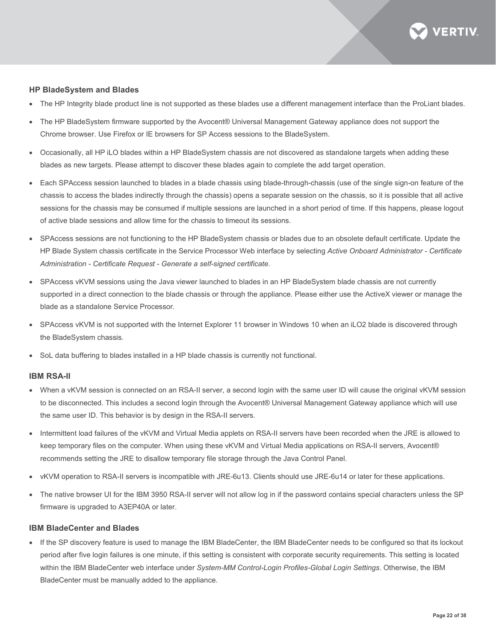

#### **HP BladeSystem and Blades**

- The HP Integrity blade product line is not supported as these blades use a different management interface than the ProLiant blades.
- The HP BladeSystem firmware supported by the Avocent® Universal Management Gateway appliance does not support the Chrome browser. Use Firefox or IE browsers for SP Access sessions to the BladeSystem.
- Occasionally, all HP iLO blades within a HP BladeSystem chassis are not discovered as standalone targets when adding these blades as new targets. Please attempt to discover these blades again to complete the add target operation.
- Each SPAccess session launched to blades in a blade chassis using blade-through-chassis (use of the single sign-on feature of the chassis to access the blades indirectly through the chassis) opens a separate session on the chassis, so it is possible that all active sessions for the chassis may be consumed if multiple sessions are launched in a short period of time. If this happens, please logout of active blade sessions and allow time for the chassis to timeout its sessions.
- SPAccess sessions are not functioning to the HP BladeSystem chassis or blades due to an obsolete default certificate. Update the HP Blade System chassis certificate in the Service Processor Web interface by selecting *Active Onboard Administrator - Certificate Administration - Certificate Request - Generate a self-signed certificate.*
- SPAccess vKVM sessions using the Java viewer launched to blades in an HP BladeSystem blade chassis are not currently supported in a direct connection to the blade chassis or through the appliance. Please either use the ActiveX viewer or manage the blade as a standalone Service Processor.
- SPAccess vKVM is not supported with the Internet Explorer 11 browser in Windows 10 when an iLO2 blade is discovered through the BladeSystem chassis.
- SoL data buffering to blades installed in a HP blade chassis is currently not functional.

#### **IBM RSA-II**

- When a vKVM session is connected on an RSA-II server, a second login with the same user ID will cause the original vKVM session to be disconnected. This includes a second login through the Avocent® Universal Management Gateway appliance which will use the same user ID. This behavior is by design in the RSA-II servers.
- Intermittent load failures of the vKVM and Virtual Media applets on RSA-II servers have been recorded when the JRE is allowed to keep temporary files on the computer. When using these vKVM and Virtual Media applications on RSA-II servers, Avocent® recommends setting the JRE to disallow temporary file storage through the Java Control Panel.
- vKVM operation to RSA-II servers is incompatible with JRE-6u13. Clients should use JRE-6u14 or later for these applications.
- The native browser UI for the IBM 3950 RSA-II server will not allow log in if the password contains special characters unless the SP firmware is upgraded to A3EP40A or later.

#### **IBM BladeCenter and Blades**

• If the SP discovery feature is used to manage the IBM BladeCenter, the IBM BladeCenter needs to be configured so that its lockout period after five login failures is one minute, if this setting is consistent with corporate security requirements. This setting is located within the IBM BladeCenter web interface under *System-MM Control-Login Profiles-Global Login Settings*. Otherwise, the IBM BladeCenter must be manually added to the appliance.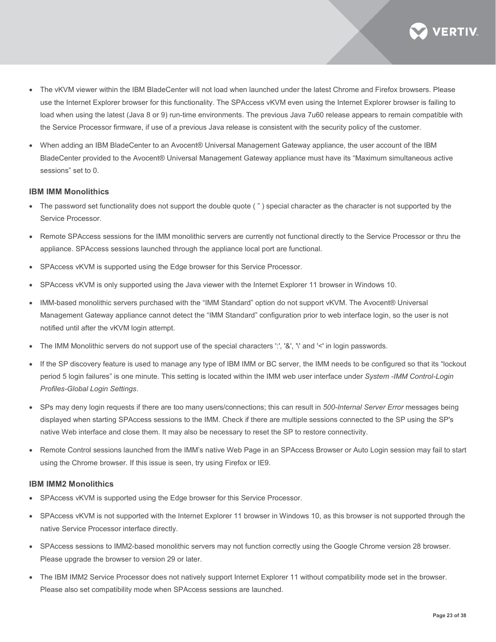

- The vKVM viewer within the IBM BladeCenter will not load when launched under the latest Chrome and Firefox browsers. Please use the Internet Explorer browser for this functionality. The SPAccess vKVM even using the Internet Explorer browser is failing to load when using the latest (Java 8 or 9) run-time environments. The previous Java 7u60 release appears to remain compatible with the Service Processor firmware, if use of a previous Java release is consistent with the security policy of the customer.
- When adding an IBM BladeCenter to an Avocent® Universal Management Gateway appliance, the user account of the IBM BladeCenter provided to the Avocent® Universal Management Gateway appliance must have its "Maximum simultaneous active sessions" set to 0.

#### **IBM IMM Monolithics**

- The password set functionality does not support the double quote ( " ) special character as the character is not supported by the Service Processor.
- Remote SPAccess sessions for the IMM monolithic servers are currently not functional directly to the Service Processor or thru the appliance. SPAccess sessions launched through the appliance local port are functional.
- SPAccess vKVM is supported using the Edge browser for this Service Processor.
- SPAccess vKVM is only supported using the Java viewer with the Internet Explorer 11 browser in Windows 10.
- IMM-based monolithic servers purchased with the "IMM Standard" option do not support vKVM. The Avocent® Universal Management Gateway appliance cannot detect the "IMM Standard" configuration prior to web interface login, so the user is not notified until after the vKVM login attempt.
- The IMM Monolithic servers do not support use of the special characters ':', '&', '\' and '<' in login passwords.
- If the SP discovery feature is used to manage any type of IBM IMM or BC server, the IMM needs to be configured so that its "lockout period 5 login failures" is one minute. This setting is located within the IMM web user interface under *System -IMM Control-Login Profiles-Global Login Settings*.
- SPs may deny login requests if there are too many users/connections; this can result in *500-Internal Server Error* messages being displayed when starting SPAccess sessions to the IMM. Check if there are multiple sessions connected to the SP using the SP's native Web interface and close them. It may also be necessary to reset the SP to restore connectivity.
- Remote Control sessions launched from the IMM's native Web Page in an SPAccess Browser or Auto Login session may fail to start using the Chrome browser. If this issue is seen, try using Firefox or IE9.

#### **IBM IMM2 Monolithics**

- SPAccess vKVM is supported using the Edge browser for this Service Processor.
- SPAccess vKVM is not supported with the Internet Explorer 11 browser in Windows 10, as this browser is not supported through the native Service Processor interface directly.
- SPAccess sessions to IMM2-based monolithic servers may not function correctly using the Google Chrome version 28 browser. Please upgrade the browser to version 29 or later.
- The IBM IMM2 Service Processor does not natively support Internet Explorer 11 without compatibility mode set in the browser. Please also set compatibility mode when SPAccess sessions are launched.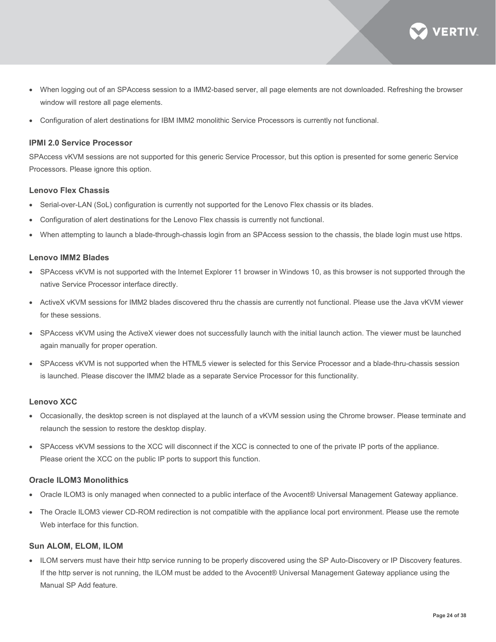

- When logging out of an SPAccess session to a IMM2-based server, all page elements are not downloaded. Refreshing the browser window will restore all page elements.
- Configuration of alert destinations for IBM IMM2 monolithic Service Processors is currently not functional.

#### **IPMI 2.0 Service Processor**

SPAccess vKVM sessions are not supported for this generic Service Processor, but this option is presented for some generic Service Processors. Please ignore this option.

#### **Lenovo Flex Chassis**

- Serial-over-LAN (SoL) configuration is currently not supported for the Lenovo Flex chassis or its blades.
- Configuration of alert destinations for the Lenovo Flex chassis is currently not functional.
- When attempting to launch a blade-through-chassis login from an SPAccess session to the chassis, the blade login must use https.

#### **Lenovo IMM2 Blades**

- SPAccess vKVM is not supported with the Internet Explorer 11 browser in Windows 10, as this browser is not supported through the native Service Processor interface directly.
- ActiveX vKVM sessions for IMM2 blades discovered thru the chassis are currently not functional. Please use the Java vKVM viewer for these sessions.
- SPAccess vKVM using the ActiveX viewer does not successfully launch with the initial launch action. The viewer must be launched again manually for proper operation.
- SPAccess vKVM is not supported when the HTML5 viewer is selected for this Service Processor and a blade-thru-chassis session is launched. Please discover the IMM2 blade as a separate Service Processor for this functionality.

#### **Lenovo XCC**

- Occasionally, the desktop screen is not displayed at the launch of a vKVM session using the Chrome browser. Please terminate and relaunch the session to restore the desktop display.
- SPAccess vKVM sessions to the XCC will disconnect if the XCC is connected to one of the private IP ports of the appliance. Please orient the XCC on the public IP ports to support this function.

#### **Oracle ILOM3 Monolithics**

- Oracle ILOM3 is only managed when connected to a public interface of the Avocent® Universal Management Gateway appliance.
- The Oracle ILOM3 viewer CD-ROM redirection is not compatible with the appliance local port environment. Please use the remote Web interface for this function.

#### **Sun ALOM, ELOM, ILOM**

• ILOM servers must have their http service running to be properly discovered using the SP Auto-Discovery or IP Discovery features. If the http server is not running, the ILOM must be added to the Avocent® Universal Management Gateway appliance using the Manual SP Add feature.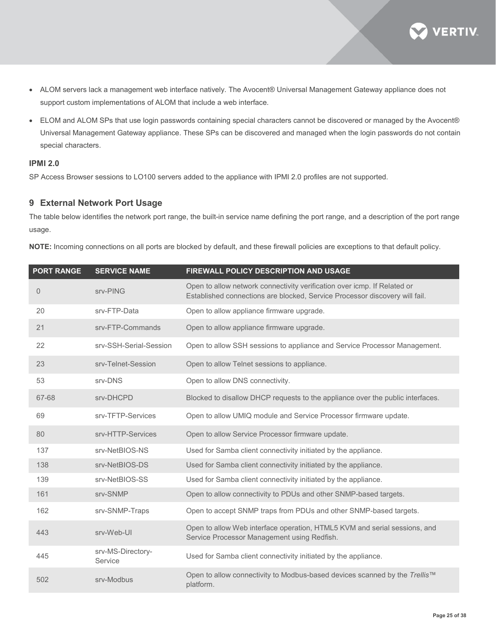

- ALOM servers lack a management web interface natively. The Avocent® Universal Management Gateway appliance does not support custom implementations of ALOM that include a web interface.
- ELOM and ALOM SPs that use login passwords containing special characters cannot be discovered or managed by the Avocent® Universal Management Gateway appliance. These SPs can be discovered and managed when the login passwords do not contain special characters.

# **IPMI 2.0**

SP Access Browser sessions to LO100 servers added to the appliance with IPMI 2.0 profiles are not supported.

# **9 External Network Port Usage**

The table below identifies the network port range, the built-in service name defining the port range, and a description of the port range usage.

**NOTE:** Incoming connections on all ports are blocked by default, and these firewall policies are exceptions to that default policy.

| <b>PORT RANGE</b> | <b>SERVICE NAME</b>          | FIREWALL POLICY DESCRIPTION AND USAGE                                                                                                                   |
|-------------------|------------------------------|---------------------------------------------------------------------------------------------------------------------------------------------------------|
| $\overline{0}$    | srv-PING                     | Open to allow network connectivity verification over icmp. If Related or<br>Established connections are blocked, Service Processor discovery will fail. |
| 20                | srv-FTP-Data                 | Open to allow appliance firmware upgrade.                                                                                                               |
| 21                | srv-FTP-Commands             | Open to allow appliance firmware upgrade.                                                                                                               |
| 22                | srv-SSH-Serial-Session       | Open to allow SSH sessions to appliance and Service Processor Management.                                                                               |
| 23                | srv-Telnet-Session           | Open to allow Telnet sessions to appliance.                                                                                                             |
| 53                | srv-DNS                      | Open to allow DNS connectivity.                                                                                                                         |
| 67-68             | srv-DHCPD                    | Blocked to disallow DHCP requests to the appliance over the public interfaces.                                                                          |
| 69                | srv-TFTP-Services            | Open to allow UMIQ module and Service Processor firmware update.                                                                                        |
| 80                | srv-HTTP-Services            | Open to allow Service Processor firmware update.                                                                                                        |
| 137               | srv-NetBIOS-NS               | Used for Samba client connectivity initiated by the appliance.                                                                                          |
| 138               | srv-NetBIOS-DS               | Used for Samba client connectivity initiated by the appliance.                                                                                          |
| 139               | srv-NetBIOS-SS               | Used for Samba client connectivity initiated by the appliance.                                                                                          |
| 161               | srv-SNMP                     | Open to allow connectivity to PDUs and other SNMP-based targets.                                                                                        |
| 162               | srv-SNMP-Traps               | Open to accept SNMP traps from PDUs and other SNMP-based targets.                                                                                       |
| 443               | srv-Web-UI                   | Open to allow Web interface operation, HTML5 KVM and serial sessions, and<br>Service Processor Management using Redfish.                                |
| 445               | srv-MS-Directory-<br>Service | Used for Samba client connectivity initiated by the appliance.                                                                                          |
| 502               | srv-Modbus                   | Open to allow connectivity to Modbus-based devices scanned by the Trellis™<br>platform.                                                                 |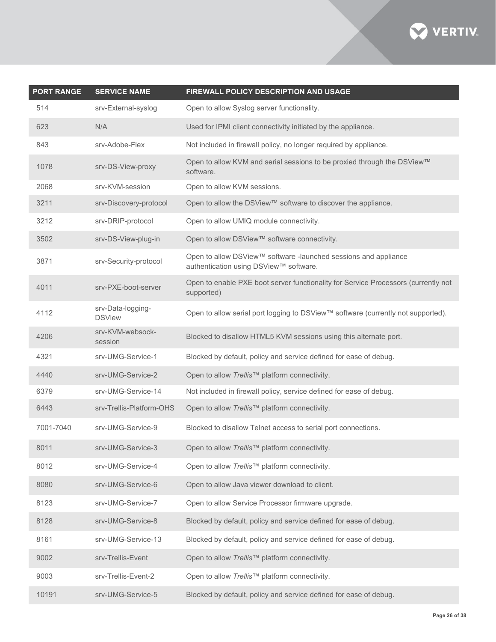

| <b>PORT RANGE</b> | <b>SERVICE NAME</b>                | FIREWALL POLICY DESCRIPTION AND USAGE                                                                     |
|-------------------|------------------------------------|-----------------------------------------------------------------------------------------------------------|
| 514               | srv-External-syslog                | Open to allow Syslog server functionality.                                                                |
| 623               | N/A                                | Used for IPMI client connectivity initiated by the appliance.                                             |
| 843               | srv-Adobe-Flex                     | Not included in firewall policy, no longer required by appliance.                                         |
| 1078              | srv-DS-View-proxy                  | Open to allow KVM and serial sessions to be proxied through the DSView™<br>software.                      |
| 2068              | srv-KVM-session                    | Open to allow KVM sessions.                                                                               |
| 3211              | srv-Discovery-protocol             | Open to allow the DSView™ software to discover the appliance.                                             |
| 3212              | srv-DRIP-protocol                  | Open to allow UMIQ module connectivity.                                                                   |
| 3502              | srv-DS-View-plug-in                | Open to allow DSView™ software connectivity.                                                              |
| 3871              | srv-Security-protocol              | Open to allow DSView™ software -launched sessions and appliance<br>authentication using DSView™ software. |
| 4011              | srv-PXE-boot-server                | Open to enable PXE boot server functionality for Service Processors (currently not<br>supported)          |
| 4112              | srv-Data-logging-<br><b>DSView</b> | Open to allow serial port logging to DSView™ software (currently not supported).                          |
| 4206              | srv-KVM-websock-<br>session        | Blocked to disallow HTML5 KVM sessions using this alternate port.                                         |
| 4321              | srv-UMG-Service-1                  | Blocked by default, policy and service defined for ease of debug.                                         |
| 4440              | srv-UMG-Service-2                  | Open to allow Trellis™ platform connectivity.                                                             |
| 6379              | srv-UMG-Service-14                 | Not included in firewall policy, service defined for ease of debug.                                       |
| 6443              | srv-Trellis-Platform-OHS           | Open to allow Trellis™ platform connectivity.                                                             |
| 7001-7040         | srv-UMG-Service-9                  | Blocked to disallow Telnet access to serial port connections.                                             |
| 8011              | srv-UMG-Service-3                  | Open to allow Trellis™ platform connectivity.                                                             |
| 8012              | srv-UMG-Service-4                  | Open to allow Trellis™ platform connectivity.                                                             |
| 8080              | srv-UMG-Service-6                  | Open to allow Java viewer download to client.                                                             |
| 8123              | srv-UMG-Service-7                  | Open to allow Service Processor firmware upgrade.                                                         |
| 8128              | srv-UMG-Service-8                  | Blocked by default, policy and service defined for ease of debug.                                         |
| 8161              | srv-UMG-Service-13                 | Blocked by default, policy and service defined for ease of debug.                                         |
| 9002              | srv-Trellis-Event                  | Open to allow Trellis™ platform connectivity.                                                             |
| 9003              | srv-Trellis-Event-2                | Open to allow Trellis™ platform connectivity.                                                             |
| 10191             | srv-UMG-Service-5                  | Blocked by default, policy and service defined for ease of debug.                                         |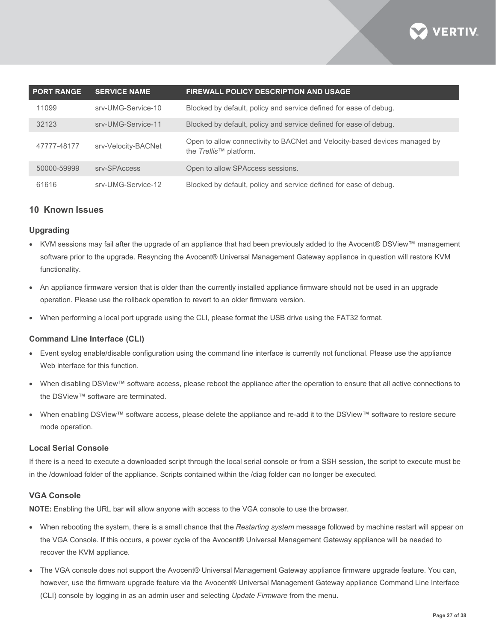

| <b>PORT RANGE</b> | <b>SERVICE NAME</b> | <b>FIREWALL POLICY DESCRIPTION AND USAGE</b>                                                                 |
|-------------------|---------------------|--------------------------------------------------------------------------------------------------------------|
| 11099             | srv-UMG-Service-10  | Blocked by default, policy and service defined for ease of debug.                                            |
| 32123             | srv-UMG-Service-11  | Blocked by default, policy and service defined for ease of debug.                                            |
| 47777-48177       | srv-Velocity-BACNet | Open to allow connectivity to BACNet and Velocity-based devices managed by<br>the <i>Trellis</i> ™ platform. |
| 50000-59999       | sry-SPAccess        | Open to allow SPAccess sessions.                                                                             |
| 61616             | srv-UMG-Service-12  | Blocked by default, policy and service defined for ease of debug.                                            |

# **10 Known Issues**

#### **Upgrading**

- KVM sessions may fail after the upgrade of an appliance that had been previously added to the Avocent® DSView™ management software prior to the upgrade. Resyncing the Avocent® Universal Management Gateway appliance in question will restore KVM functionality.
- An appliance firmware version that is older than the currently installed appliance firmware should not be used in an upgrade operation. Please use the rollback operation to revert to an older firmware version.
- When performing a local port upgrade using the CLI, please format the USB drive using the FAT32 format.

#### **Command Line Interface (CLI)**

- Event syslog enable/disable configuration using the command line interface is currently not functional. Please use the appliance Web interface for this function.
- When disabling DSView™ software access, please reboot the appliance after the operation to ensure that all active connections to the DSView™ software are terminated.
- When enabling DSView™ software access, please delete the appliance and re-add it to the DSView™ software to restore secure mode operation.

#### **Local Serial Console**

If there is a need to execute a downloaded script through the local serial console or from a SSH session, the script to execute must be in the /download folder of the appliance. Scripts contained within the /diag folder can no longer be executed.

#### **VGA Console**

**NOTE:** Enabling the URL bar will allow anyone with access to the VGA console to use the browser.

- When rebooting the system, there is a small chance that the *Restarting system* message followed by machine restart will appear on the VGA Console. If this occurs, a power cycle of the Avocent® Universal Management Gateway appliance will be needed to recover the KVM appliance.
- The VGA console does not support the Avocent® Universal Management Gateway appliance firmware upgrade feature. You can, however, use the firmware upgrade feature via the Avocent® Universal Management Gateway appliance Command Line Interface (CLI) console by logging in as an admin user and selecting *Update Firmware* from the menu.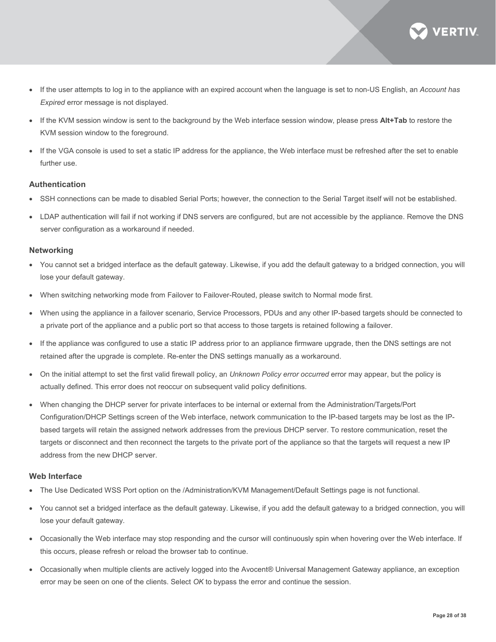

- If the user attempts to log in to the appliance with an expired account when the language is set to non-US English, an *Account has Expired* error message is not displayed.
- If the KVM session window is sent to the background by the Web interface session window, please press **Alt+Tab** to restore the KVM session window to the foreground.
- If the VGA console is used to set a static IP address for the appliance, the Web interface must be refreshed after the set to enable further use.

#### **Authentication**

- SSH connections can be made to disabled Serial Ports; however, the connection to the Serial Target itself will not be established.
- LDAP authentication will fail if not working if DNS servers are configured, but are not accessible by the appliance. Remove the DNS server configuration as a workaround if needed.

#### **Networking**

- You cannot set a bridged interface as the default gateway. Likewise, if you add the default gateway to a bridged connection, you will lose your default gateway.
- When switching networking mode from Failover to Failover-Routed, please switch to Normal mode first.
- When using the appliance in a failover scenario, Service Processors, PDUs and any other IP-based targets should be connected to a private port of the appliance and a public port so that access to those targets is retained following a failover.
- If the appliance was configured to use a static IP address prior to an appliance firmware upgrade, then the DNS settings are not retained after the upgrade is complete. Re-enter the DNS settings manually as a workaround.
- On the initial attempt to set the first valid firewall policy, an *Unknown Policy error occurred* error may appear, but the policy is actually defined. This error does not reoccur on subsequent valid policy definitions.
- When changing the DHCP server for private interfaces to be internal or external from the Administration/Targets/Port Configuration/DHCP Settings screen of the Web interface, network communication to the IP-based targets may be lost as the IPbased targets will retain the assigned network addresses from the previous DHCP server. To restore communication, reset the targets or disconnect and then reconnect the targets to the private port of the appliance so that the targets will request a new IP address from the new DHCP server.

#### **Web Interface**

- The Use Dedicated WSS Port option on the /Administration/KVM Management/Default Settings page is not functional.
- You cannot set a bridged interface as the default gateway. Likewise, if you add the default gateway to a bridged connection, you will lose your default gateway.
- Occasionally the Web interface may stop responding and the cursor will continuously spin when hovering over the Web interface. If this occurs, please refresh or reload the browser tab to continue.
- Occasionally when multiple clients are actively logged into the Avocent® Universal Management Gateway appliance, an exception error may be seen on one of the clients. Select *OK* to bypass the error and continue the session.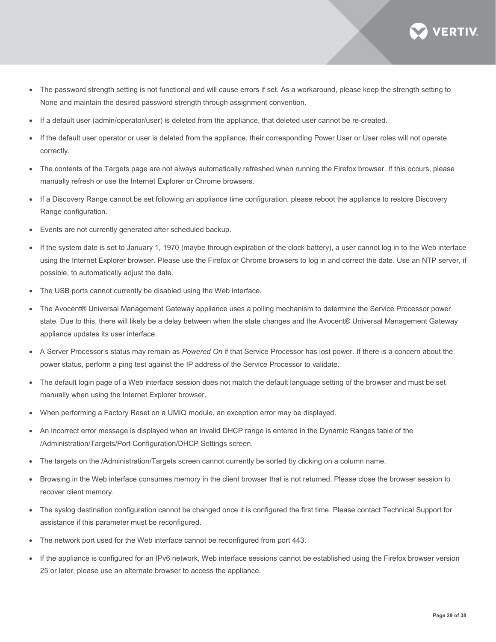

- The password strength setting is not functional and will cause errors if set. As a workaround, please keep the strength setting to None and maintain the desired password strength through assignment convention.
- If a default user (admin/operator/user) is deleted from the appliance, that deleted user cannot be re-created.
- If the default user operator or user is deleted from the appliance, their corresponding Power User or User roles will not operate correctly.
- The contents of the Targets page are not always automatically refreshed when running the Firefox browser. If this occurs, please manually refresh or use the Internet Explorer or Chrome browsers.
- If a Discovery Range cannot be set following an appliance time configuration, please reboot the appliance to restore Discovery Range configuration.
- Events are not currently generated after scheduled backup.
- If the system date is set to January 1, 1970 (maybe through expiration of the clock battery), a user cannot log in to the Web interface using the Internet Explorer browser. Please use the Firefox or Chrome browsers to log in and correct the date. Use an NTP server, if possible, to automatically adjust the date.
- The USB ports cannot currently be disabled using the Web interface.
- The Avocent® Universal Management Gateway appliance uses a polling mechanism to determine the Service Processor power state. Due to this, there will likely be a delay between when the state changes and the Avocent® Universal Management Gateway appliance updates its user interface.
- A Server Processor's status may remain as *Powered On* if that Service Processor has lost power. If there is a concern about the power status, perform a ping test against the IP address of the Service Processor to validate.
- The default login page of a Web interface session does not match the default language setting of the browser and must be set manually when using the Internet Explorer browser.
- When performing a Factory Reset on a UMIQ module, an exception error may be displayed.
- An incorrect error message is displayed when an invalid DHCP range is entered in the Dynamic Ranges table of the /Administration/Targets/Port Configuration/DHCP Settings screen.
- The targets on the /Administration/Targets screen cannot currently be sorted by clicking on a column name.
- Browsing in the Web interface consumes memory in the client browser that is not returned. Please close the browser session to recover client memory.
- The syslog destination configuration cannot be changed once it is configured the first time. Please contact Technical Support for assistance if this parameter must be reconfigured.
- The network port used for the Web interface cannot be reconfigured from port 443.
- If the appliance is configured for an IPv6 network, Web interface sessions cannot be established using the Firefox browser version 25 or later, please use an alternate browser to access the appliance.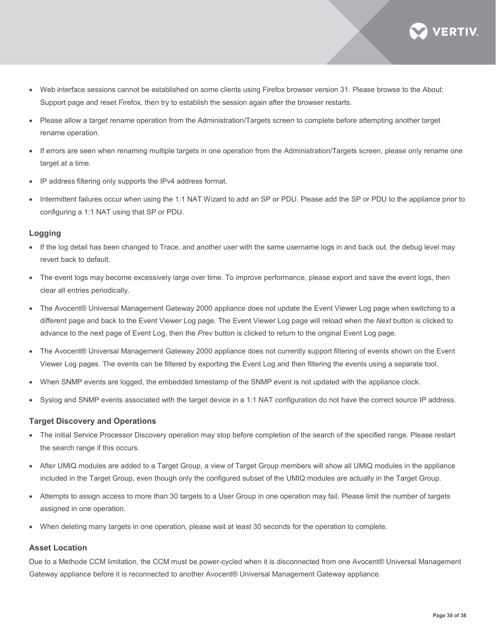

- Web interface sessions cannot be established on some clients using Firefox browser version 31. Please browse to the About: Support page and reset Firefox, then try to establish the session again after the browser restarts.
- Please allow a target rename operation from the Administration/Targets screen to complete before attempting another target rename operation.
- If errors are seen when renaming multiple targets in one operation from the Administration/Targets screen, please only rename one target at a time.
- IP address filtering only supports the IPv4 address format.
- Intermittent failures occur when using the 1:1 NAT Wizard to add an SP or PDU. Please add the SP or PDU to the appliance prior to configuring a 1:1 NAT using that SP or PDU.

#### **Logging**

- If the log detail has been changed to Trace, and another user with the same username logs in and back out, the debug level may revert back to default.
- The event logs may become excessively large over time. To improve performance, please export and save the event logs, then clear all entries periodically.
- The Avocent® Universal Management Gateway 2000 appliance does not update the Event Viewer Log page when switching to a different page and back to the Event Viewer Log page. The Event Viewer Log page will reload when the *Next* button is clicked to advance to the next page of Event Log, then the *Prev* button is clicked to return to the original Event Log page.
- The Avocent® Universal Management Gateway 2000 appliance does not currently support filtering of events shown on the Event Viewer Log pages. The events can be filtered by exporting the Event Log and then filtering the events using a separate tool.
- When SNMP events are logged, the embedded timestamp of the SNMP event is not updated with the appliance clock.
- Syslog and SNMP events associated with the target device in a 1:1 NAT configuration do not have the correct source IP address.

#### **Target Discovery and Operations**

- The initial Service Processor Discovery operation may stop before completion of the search of the specified range. Please restart the search range if this occurs.
- After UMIQ modules are added to a Target Group, a view of Target Group members will show all UMIQ modules in the appliance included in the Target Group, even though only the configured subset of the UMIQ modules are actually in the Target Group.
- Attempts to assign access to more than 30 targets to a User Group in one operation may fail. Please limit the number of targets assigned in one operation.
- When deleting many targets in one operation, please wait at least 30 seconds for the operation to complete.

#### **Asset Location**

Due to a Methode CCM limitation, the CCM must be power-cycled when it is disconnected from one Avocent® Universal Management Gateway appliance before it is reconnected to another Avocent® Universal Management Gateway appliance.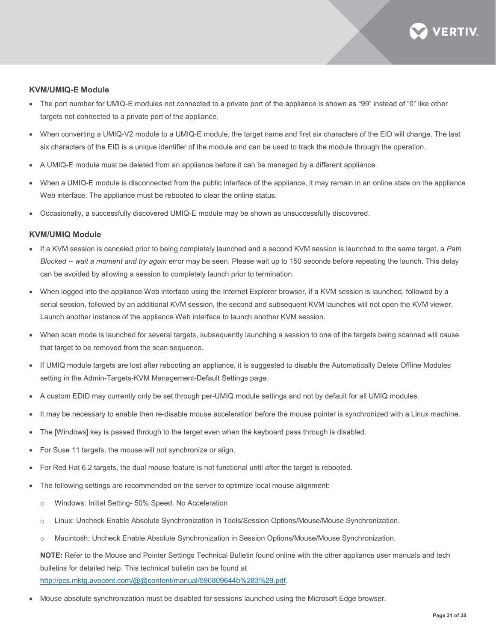

#### **KVM/UMIQ-E Module**

- The port number for UMIQ-E modules not connected to a private port of the appliance is shown as "99" instead of "0" like other targets not connected to a private port of the appliance.
- When converting a UMIQ-V2 module to a UMIQ-E module, the target name and first six characters of the EID will change. The last six characters of the EID is a unique identifier of the module and can be used to track the module through the operation.
- A UMIQ-E module must be deleted from an appliance before it can be managed by a different appliance.
- When a UMIQ-E module is disconnected from the public interface of the appliance, it may remain in an online state on the appliance Web interface. The appliance must be rebooted to clear the online status.
- Occasionally, a successfully discovered UMIQ-E module may be shown as unsuccessfully discovered.

#### **KVM/UMIQ Module**

- If a KVM session is canceled prior to being completely launched and a second KVM session is launched to the same target, a *Path Blocked -- wait a moment and try again* error may be seen. Please wait up to 150 seconds before repeating the launch. This delay can be avoided by allowing a session to completely launch prior to termination.
- When logged into the appliance Web interface using the Internet Explorer browser, if a KVM session is launched, followed by a serial session, followed by an additional KVM session, the second and subsequent KVM launches will not open the KVM viewer. Launch another instance of the appliance Web interface to launch another KVM session.
- When scan mode is launched for several targets, subsequently launching a session to one of the targets being scanned will cause that target to be removed from the scan sequence.
- If UMIQ module targets are lost after rebooting an appliance, it is suggested to disable the Automatically Delete Offline Modules setting in the Admin-Targets-KVM Management-Default Settings page.
- A custom EDID may currently only be set through per-UMIQ module settings and not by default for all UMIQ modules.
- It may be necessary to enable then re-disable mouse acceleration before the mouse pointer is synchronized with a Linux machine.
- The [Windows] key is passed through to the target even when the keyboard pass through is disabled.
- For Suse 11 targets, the mouse will not synchronize or align.
- For Red Hat 6.2 targets, the dual mouse feature is not functional until after the target is rebooted.
- The following settings are recommended on the server to optimize local mouse alignment:
	- o Windows: Initial Setting- 50% Speed. No Acceleration
	- o Linux: Uncheck Enable Absolute Synchronization in Tools/Session Options/Mouse/Mouse Synchronization.
	- o Macintosh: Uncheck Enable Absolute Synchronization in Session Options/Mouse/Mouse Synchronization.

**NOTE:** Refer to the Mouse and Pointer Settings Technical Bulletin found online with the other appliance user manuals and tech bulletins for detailed help. This technical bulletin can be found at [http://pcs.mktg.avocent.com/@@content/manual/590809644b%283%29.pdf.](http://pcs.mktg.avocent.com/@@content/manual/590809644b%283%29.pdf)

• Mouse absolute synchronization must be disabled for sessions launched using the Microsoft Edge browser.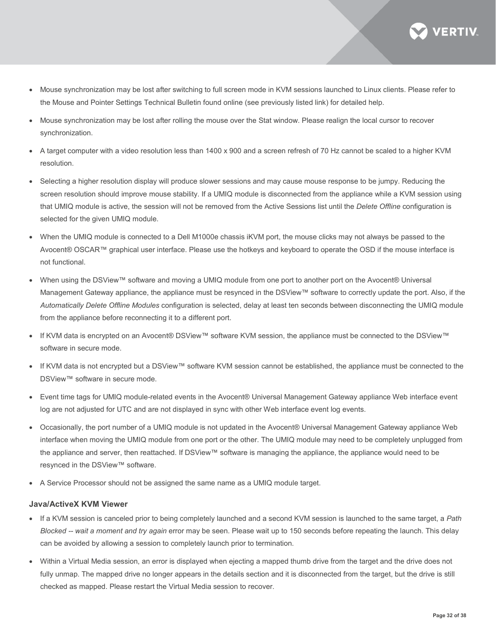

- Mouse synchronization may be lost after switching to full screen mode in KVM sessions launched to Linux clients. Please refer to the Mouse and Pointer Settings Technical Bulletin found online (see previously listed link) for detailed help.
- Mouse synchronization may be lost after rolling the mouse over the Stat window. Please realign the local cursor to recover synchronization.
- A target computer with a video resolution less than 1400 x 900 and a screen refresh of 70 Hz cannot be scaled to a higher KVM resolution.
- Selecting a higher resolution display will produce slower sessions and may cause mouse response to be jumpy. Reducing the screen resolution should improve mouse stability. If a UMIQ module is disconnected from the appliance while a KVM session using that UMIQ module is active, the session will not be removed from the Active Sessions list until the *Delete Offline* configuration is selected for the given UMIQ module.
- When the UMIQ module is connected to a Dell M1000e chassis iKVM port, the mouse clicks may not always be passed to the Avocent® OSCAR™ graphical user interface. Please use the hotkeys and keyboard to operate the OSD if the mouse interface is not functional.
- When using the DSView™ software and moving a UMIQ module from one port to another port on the Avocent® Universal Management Gateway appliance, the appliance must be resynced in the DSView™ software to correctly update the port. Also, if the *Automatically Delete Offline Modules* configuration is selected, delay at least ten seconds between disconnecting the UMIQ module from the appliance before reconnecting it to a different port.
- If KVM data is encrypted on an Avocent® DSView™ software KVM session, the appliance must be connected to the DSView™ software in secure mode.
- If KVM data is not encrypted but a DSView™ software KVM session cannot be established, the appliance must be connected to the DSView™ software in secure mode.
- Event time tags for UMIQ module-related events in the Avocent® Universal Management Gateway appliance Web interface event log are not adjusted for UTC and are not displayed in sync with other Web interface event log events.
- Occasionally, the port number of a UMIQ module is not updated in the Avocent® Universal Management Gateway appliance Web interface when moving the UMIQ module from one port or the other. The UMIQ module may need to be completely unplugged from the appliance and server, then reattached. If DSView™ software is managing the appliance, the appliance would need to be resynced in the DSView™ software.
- A Service Processor should not be assigned the same name as a UMIQ module target.

# **Java/ActiveX KVM Viewer**

- If a KVM session is canceled prior to being completely launched and a second KVM session is launched to the same target, a *Path Blocked -- wait a moment and try again* error may be seen. Please wait up to 150 seconds before repeating the launch. This delay can be avoided by allowing a session to completely launch prior to termination.
- Within a Virtual Media session, an error is displayed when ejecting a mapped thumb drive from the target and the drive does not fully unmap. The mapped drive no longer appears in the details section and it is disconnected from the target, but the drive is still checked as mapped. Please restart the Virtual Media session to recover.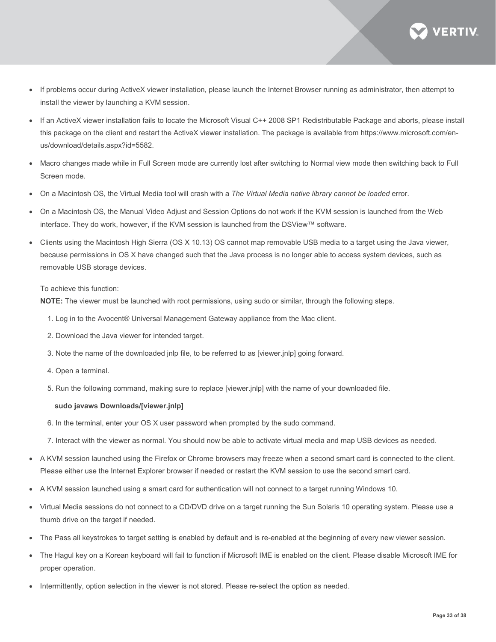

- If problems occur during ActiveX viewer installation, please launch the Internet Browser running as administrator, then attempt to install the viewer by launching a KVM session.
- If an ActiveX viewer installation fails to locate the Microsoft Visual C++ 2008 SP1 Redistributable Package and aborts, please install this package on the client and restart the ActiveX viewer installation. The package is available from https://www.microsoft.com/enus/download/details.aspx?id=5582.
- Macro changes made while in Full Screen mode are currently lost after switching to Normal view mode then switching back to Full Screen mode.
- On a Macintosh OS, the Virtual Media tool will crash with a *The Virtual Media native library cannot be loaded* error.
- On a Macintosh OS, the Manual Video Adjust and Session Options do not work if the KVM session is launched from the Web interface. They do work, however, if the KVM session is launched from the DSView™ software.
- Clients using the Macintosh High Sierra (OS X 10.13) OS cannot map removable USB media to a target using the Java viewer, because permissions in OS X have changed such that the Java process is no longer able to access system devices, such as removable USB storage devices.

#### To achieve this function:

**NOTE:** The viewer must be launched with root permissions, using sudo or similar, through the following steps.

- 1. Log in to the Avocent® Universal Management Gateway appliance from the Mac client.
- 2. Download the Java viewer for intended target.
- 3. Note the name of the downloaded jnlp file, to be referred to as [viewer.jnlp] going forward.
- 4. Open a terminal.
- 5. Run the following command, making sure to replace [viewer.jnlp] with the name of your downloaded file.

#### **sudo javaws Downloads/[viewer.jnlp]**

- 6. In the terminal, enter your OS X user password when prompted by the sudo command.
- 7. Interact with the viewer as normal. You should now be able to activate virtual media and map USB devices as needed.
- A KVM session launched using the Firefox or Chrome browsers may freeze when a second smart card is connected to the client. Please either use the Internet Explorer browser if needed or restart the KVM session to use the second smart card.
- A KVM session launched using a smart card for authentication will not connect to a target running Windows 10.
- Virtual Media sessions do not connect to a CD/DVD drive on a target running the Sun Solaris 10 operating system. Please use a thumb drive on the target if needed.
- The Pass all keystrokes to target setting is enabled by default and is re-enabled at the beginning of every new viewer session.
- The Hagul key on a Korean keyboard will fail to function if Microsoft IME is enabled on the client. Please disable Microsoft IME for proper operation.
- Intermittently, option selection in the viewer is not stored. Please re-select the option as needed.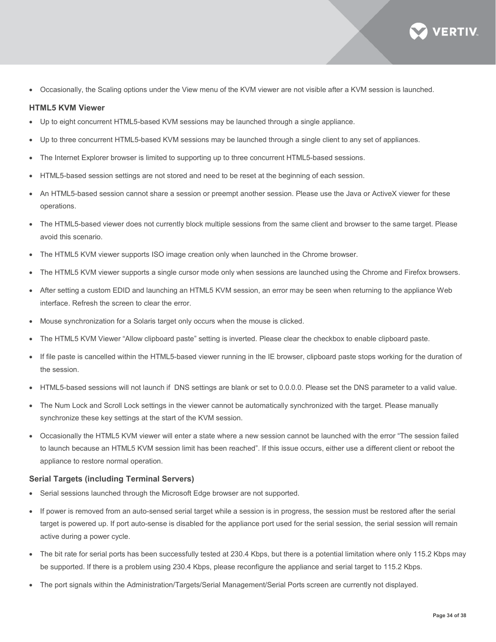

• Occasionally, the Scaling options under the View menu of the KVM viewer are not visible after a KVM session is launched.

#### **HTML5 KVM Viewer**

- Up to eight concurrent HTML5-based KVM sessions may be launched through a single appliance.
- Up to three concurrent HTML5-based KVM sessions may be launched through a single client to any set of appliances.
- The Internet Explorer browser is limited to supporting up to three concurrent HTML5-based sessions.
- HTML5-based session settings are not stored and need to be reset at the beginning of each session.
- An HTML5-based session cannot share a session or preempt another session. Please use the Java or ActiveX viewer for these operations.
- The HTML5-based viewer does not currently block multiple sessions from the same client and browser to the same target. Please avoid this scenario.
- The HTML5 KVM viewer supports ISO image creation only when launched in the Chrome browser.
- The HTML5 KVM viewer supports a single cursor mode only when sessions are launched using the Chrome and Firefox browsers.
- After setting a custom EDID and launching an HTML5 KVM session, an error may be seen when returning to the appliance Web interface. Refresh the screen to clear the error.
- Mouse synchronization for a Solaris target only occurs when the mouse is clicked.
- The HTML5 KVM Viewer "Allow clipboard paste" setting is inverted. Please clear the checkbox to enable clipboard paste.
- If file paste is cancelled within the HTML5-based viewer running in the IE browser, clipboard paste stops working for the duration of the session.
- HTML5-based sessions will not launch if DNS settings are blank or set to 0.0.0.0. Please set the DNS parameter to a valid value.
- The Num Lock and Scroll Lock settings in the viewer cannot be automatically synchronized with the target. Please manually synchronize these key settings at the start of the KVM session.
- Occasionally the HTML5 KVM viewer will enter a state where a new session cannot be launched with the error "The session failed to launch because an HTML5 KVM session limit has been reached". If this issue occurs, either use a different client or reboot the appliance to restore normal operation.

#### **Serial Targets (including Terminal Servers)**

- Serial sessions launched through the Microsoft Edge browser are not supported.
- If power is removed from an auto-sensed serial target while a session is in progress, the session must be restored after the serial target is powered up. If port auto-sense is disabled for the appliance port used for the serial session, the serial session will remain active during a power cycle.
- The bit rate for serial ports has been successfully tested at 230.4 Kbps, but there is a potential limitation where only 115.2 Kbps may be supported. If there is a problem using 230.4 Kbps, please reconfigure the appliance and serial target to 115.2 Kbps.
- The port signals within the Administration/Targets/Serial Management/Serial Ports screen are currently not displayed.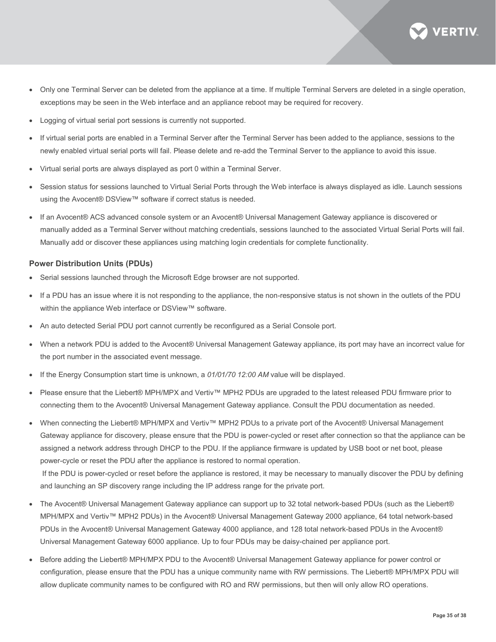

- Only one Terminal Server can be deleted from the appliance at a time. If multiple Terminal Servers are deleted in a single operation, exceptions may be seen in the Web interface and an appliance reboot may be required for recovery.
- Logging of virtual serial port sessions is currently not supported.
- If virtual serial ports are enabled in a Terminal Server after the Terminal Server has been added to the appliance, sessions to the newly enabled virtual serial ports will fail. Please delete and re-add the Terminal Server to the appliance to avoid this issue.
- Virtual serial ports are always displayed as port 0 within a Terminal Server.
- Session status for sessions launched to Virtual Serial Ports through the Web interface is always displayed as idle. Launch sessions using the Avocent® DSView™ software if correct status is needed.
- If an Avocent® ACS advanced console system or an Avocent® Universal Management Gateway appliance is discovered or manually added as a Terminal Server without matching credentials, sessions launched to the associated Virtual Serial Ports will fail. Manually add or discover these appliances using matching login credentials for complete functionality.

#### **Power Distribution Units (PDUs)**

- Serial sessions launched through the Microsoft Edge browser are not supported.
- If a PDU has an issue where it is not responding to the appliance, the non-responsive status is not shown in the outlets of the PDU within the appliance Web interface or DSView™ software.
- An auto detected Serial PDU port cannot currently be reconfigured as a Serial Console port.
- When a network PDU is added to the Avocent® Universal Management Gateway appliance, its port may have an incorrect value for the port number in the associated event message.
- If the Energy Consumption start time is unknown, a *01/01/70 12:00 AM* value will be displayed.
- Please ensure that the Liebert® MPH/MPX and Vertiv™ MPH2 PDUs are upgraded to the latest released PDU firmware prior to connecting them to the Avocent® Universal Management Gateway appliance. Consult the PDU documentation as needed.
- When connecting the Liebert® MPH/MPX and Vertiv™ MPH2 PDUs to a private port of the Avocent® Universal Management Gateway appliance for discovery, please ensure that the PDU is power-cycled or reset after connection so that the appliance can be assigned a network address through DHCP to the PDU. If the appliance firmware is updated by USB boot or net boot, please power-cycle or reset the PDU after the appliance is restored to normal operation. If the PDU is power-cycled or reset before the appliance is restored, it may be necessary to manually discover the PDU by defining

and launching an SP discovery range including the IP address range for the private port.

- The Avocent® Universal Management Gateway appliance can support up to 32 total network-based PDUs (such as the Liebert® MPH/MPX and Vertiv™ MPH2 PDUs) in the Avocent® Universal Management Gateway 2000 appliance, 64 total network-based PDUs in the Avocent® Universal Management Gateway 4000 appliance, and 128 total network-based PDUs in the Avocent® Universal Management Gateway 6000 appliance. Up to four PDUs may be daisy-chained per appliance port.
- Before adding the Liebert® MPH/MPX PDU to the Avocent® Universal Management Gateway appliance for power control or configuration, please ensure that the PDU has a unique community name with RW permissions. The Liebert® MPH/MPX PDU will allow duplicate community names to be configured with RO and RW permissions, but then will only allow RO operations.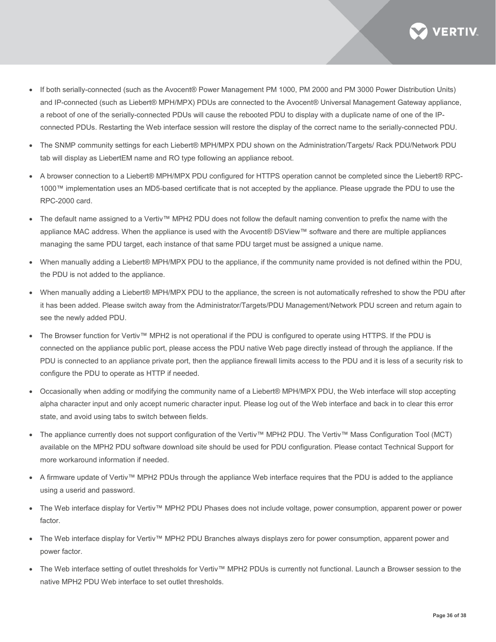

- If both serially-connected (such as the Avocent® Power Management PM 1000, PM 2000 and PM 3000 Power Distribution Units) and IP-connected (such as Liebert® MPH/MPX) PDUs are connected to the Avocent® Universal Management Gateway appliance, a reboot of one of the serially-connected PDUs will cause the rebooted PDU to display with a duplicate name of one of the IPconnected PDUs. Restarting the Web interface session will restore the display of the correct name to the serially-connected PDU.
- The SNMP community settings for each Liebert® MPH/MPX PDU shown on the Administration/Targets/ Rack PDU/Network PDU tab will display as LiebertEM name and RO type following an appliance reboot.
- A browser connection to a Liebert® MPH/MPX PDU configured for HTTPS operation cannot be completed since the Liebert® RPC-1000™ implementation uses an MD5-based certificate that is not accepted by the appliance. Please upgrade the PDU to use the RPC-2000 card.
- The default name assigned to a Vertiv™ MPH2 PDU does not follow the default naming convention to prefix the name with the appliance MAC address. When the appliance is used with the Avocent® DSView™ software and there are multiple appliances managing the same PDU target, each instance of that same PDU target must be assigned a unique name.
- When manually adding a Liebert® MPH/MPX PDU to the appliance, if the community name provided is not defined within the PDU, the PDU is not added to the appliance.
- When manually adding a Liebert® MPH/MPX PDU to the appliance, the screen is not automatically refreshed to show the PDU after it has been added. Please switch away from the Administrator/Targets/PDU Management/Network PDU screen and return again to see the newly added PDU.
- The Browser function for Vertiv™ MPH2 is not operational if the PDU is configured to operate using HTTPS. If the PDU is connected on the appliance public port, please access the PDU native Web page directly instead of through the appliance. If the PDU is connected to an appliance private port, then the appliance firewall limits access to the PDU and it is less of a security risk to configure the PDU to operate as HTTP if needed.
- Occasionally when adding or modifying the community name of a Liebert® MPH/MPX PDU, the Web interface will stop accepting alpha character input and only accept numeric character input. Please log out of the Web interface and back in to clear this error state, and avoid using tabs to switch between fields.
- The appliance currently does not support configuration of the Vertiv™ MPH2 PDU. The Vertiv™ Mass Configuration Tool (MCT) available on the MPH2 PDU software download site should be used for PDU configuration. Please contact Technical Support for more workaround information if needed.
- A firmware update of Vertiv™ MPH2 PDUs through the appliance Web interface requires that the PDU is added to the appliance using a userid and password.
- The Web interface display for Vertiv™ MPH2 PDU Phases does not include voltage, power consumption, apparent power or power factor.
- The Web interface display for Vertiv™ MPH2 PDU Branches always displays zero for power consumption, apparent power and power factor.
- The Web interface setting of outlet thresholds for Vertiv™ MPH2 PDUs is currently not functional. Launch a Browser session to the native MPH2 PDU Web interface to set outlet thresholds.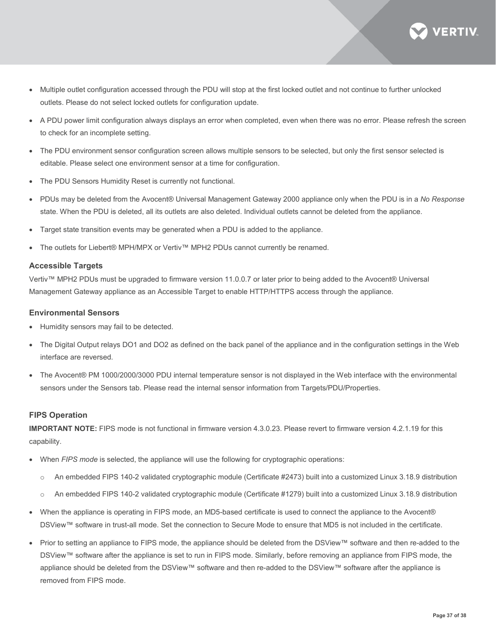

- Multiple outlet configuration accessed through the PDU will stop at the first locked outlet and not continue to further unlocked outlets. Please do not select locked outlets for configuration update.
- A PDU power limit configuration always displays an error when completed, even when there was no error. Please refresh the screen to check for an incomplete setting.
- The PDU environment sensor configuration screen allows multiple sensors to be selected, but only the first sensor selected is editable. Please select one environment sensor at a time for configuration.
- The PDU Sensors Humidity Reset is currently not functional.
- PDUs may be deleted from the Avocent® Universal Management Gateway 2000 appliance only when the PDU is in a *No Response* state. When the PDU is deleted, all its outlets are also deleted. Individual outlets cannot be deleted from the appliance.
- Target state transition events may be generated when a PDU is added to the appliance.
- The outlets for Liebert® MPH/MPX or Vertiv™ MPH2 PDUs cannot currently be renamed.

#### **Accessible Targets**

Vertiv™ MPH2 PDUs must be upgraded to firmware version 11.0.0.7 or later prior to being added to the Avocent® Universal Management Gateway appliance as an Accessible Target to enable HTTP/HTTPS access through the appliance.

#### **Environmental Sensors**

- Humidity sensors may fail to be detected.
- The Digital Output relays DO1 and DO2 as defined on the back panel of the appliance and in the configuration settings in the Web interface are reversed.
- The Avocent® PM 1000/2000/3000 PDU internal temperature sensor is not displayed in the Web interface with the environmental sensors under the Sensors tab. Please read the internal sensor information from Targets/PDU/Properties.

#### **FIPS Operation**

**IMPORTANT NOTE:** FIPS mode is not functional in firmware version 4.3.0.23. Please revert to firmware version 4.2.1.19 for this capability.

- When *FIPS mode* is selected, the appliance will use the following for cryptographic operations:
	- o An embedded FIPS 140-2 validated cryptographic module (Certificate #2473) built into a customized Linux 3.18.9 distribution
	- o An embedded FIPS 140-2 validated cryptographic module (Certificate #1279) built into a customized Linux 3.18.9 distribution
- When the appliance is operating in FIPS mode, an MD5-based certificate is used to connect the appliance to the Avocent® DSView™ software in trust-all mode. Set the connection to Secure Mode to ensure that MD5 is not included in the certificate.
- Prior to setting an appliance to FIPS mode, the appliance should be deleted from the DSView™ software and then re-added to the DSView™ software after the appliance is set to run in FIPS mode. Similarly, before removing an appliance from FIPS mode, the appliance should be deleted from the DSView™ software and then re-added to the DSView™ software after the appliance is removed from FIPS mode.